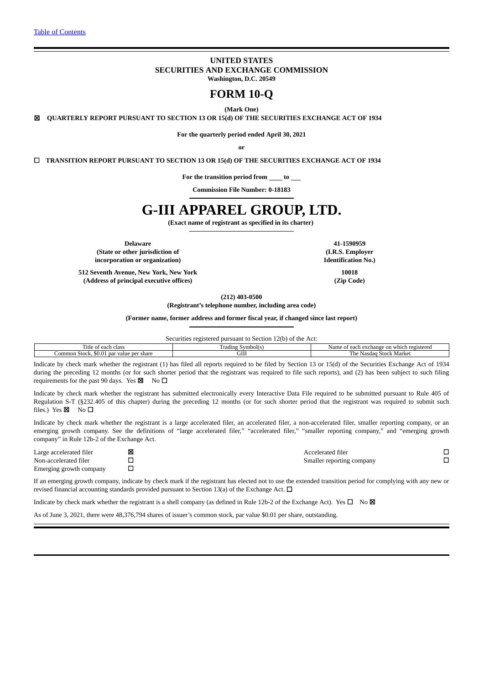## **UNITED STATES SECURITIES AND EXCHANGE COMMISSION Washington, D.C. 20549**

## **FORM 10-Q**

**(Mark One)**

☒ **QUARTERLY REPORT PURSUANT TO SECTION 13 OR 15(d) OF THE SECURITIES EXCHANGE ACT OF 1934**

**For the quarterly period ended April 30, 2021**

**or**

☐ **TRANSITION REPORT PURSUANT TO SECTION 13 OR 15(d) OF THE SECURITIES EXCHANGE ACT OF 1934**

For the transition period from \_\_\_\_\_ to \_

**Commission File Number: 0-18183**

# **G-III APPAREL GROUP, LTD.**

**(Exact name of registrant as specified in its charter)** 

**Delaware 41-1590959 (State or other jurisdiction of (I.R.S. Employer incorporation or organization) Identification No.)**

**512 Seventh Avenue, New York, New York 10018 (Address of principal executive offices) (Zip Code)**

**(212) 403-0500**

**(Registrant's telephone number, including area code)**

**(Former name, former address and former fiscal year, if changed since last report)**

Securities registered pursuant to Section 12(b) of the Act:

| Fitle<br>clas<br>each.<br>$\mathbf{u}$                  | -<br>. ading '<br>mboli s | registereo<br>Nam<br>. whic<br>⊦exchange on ∶<br>020<br>nt |
|---------------------------------------------------------|---------------------------|------------------------------------------------------------|
| .ommon<br>Stock.<br>ner<br>par<br>shar<br>value<br>JU.U | $ -$<br>UII               | . Market<br>ľh<br>Stock<br>Nasdac                          |
|                                                         |                           |                                                            |

Indicate by check mark whether the registrant (1) has filed all reports required to be filed by Section 13 or 15(d) of the Securities Exchange Act of 1934 during the preceding 12 months (or for such shorter period that the registrant was required to file such reports), and (2) has been subject to such filing requirements for the past 90 days. Yes  $\boxtimes$  No  $\Box$ 

Indicate by check mark whether the registrant has submitted electronically every Interactive Data File required to be submitted pursuant to Rule 405 of Regulation S-T (§232.405 of this chapter) during the preceding 12 months (or for such shorter period that the registrant was required to submit such files.) Yes ⊠ No □

Indicate by check mark whether the registrant is a large accelerated filer, an accelerated filer, a non-accelerated filer, smaller reporting company, or an emerging growth company. See the definitions of "large accelerated filer," "accelerated filer," "smaller reporting company," and "emerging growth company" in Rule 12b-2 of the Exchange Act.

| Large accelerated filer | Accelerated filer         |  |
|-------------------------|---------------------------|--|
| Non-accelerated filer   | Smaller reporting company |  |
| Emerging growth company |                           |  |

If an emerging growth company, indicate by check mark if the registrant has elected not to use the extended transition period for complying with any new or revised financial accounting standards provided pursuant to Section 13(a) of the Exchange Act.  $\Box$ 

Indicate by check mark whether the registrant is a shell company (as defined in Rule 12b-2 of the Exchange Act). Yes  $\Box$  No  $\boxtimes$ 

As of June 3, 2021, there were 48,376,794 shares of issuer's common stock, par value \$0.01 per share, outstanding.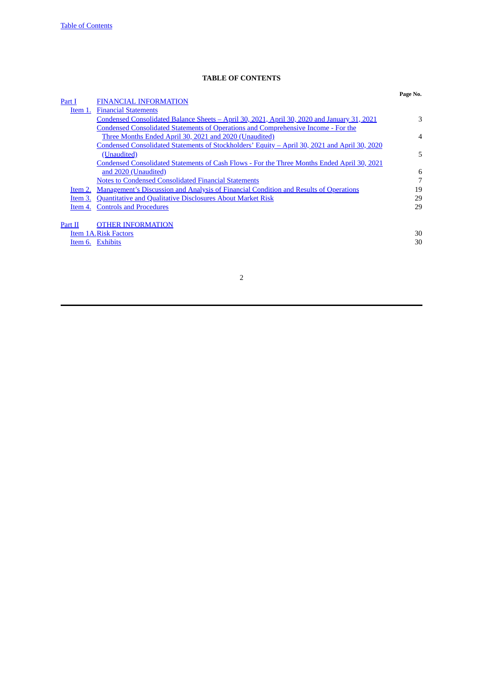## **TABLE OF CONTENTS**

<span id="page-1-0"></span>

|         |                                                                                                           | Page No.       |
|---------|-----------------------------------------------------------------------------------------------------------|----------------|
| Part I  | <b>FINANCIAL INFORMATION</b>                                                                              |                |
| Item 1. | <b>Financial Statements</b>                                                                               |                |
|         | Condensed Consolidated Balance Sheets - April 30, 2021, April 30, 2020 and January 31, 2021               | 3              |
|         | Condensed Consolidated Statements of Operations and Comprehensive Income - For the                        |                |
|         | Three Months Ended April 30, 2021 and 2020 (Unaudited)                                                    | 4              |
|         | Condensed Consolidated Statements of Stockholders' Equity - April 30, 2021 and April 30, 2020             |                |
|         | (Unaudited)                                                                                               | 5              |
|         | <u><b>Condensed Consolidated Statements of Cash Flows - For the Three Months Ended April 30, 2021</b></u> |                |
|         | and 2020 (Unaudited)                                                                                      | 6              |
|         | <b>Notes to Condensed Consolidated Financial Statements</b>                                               | $\overline{7}$ |
| Item 2. | Management's Discussion and Analysis of Financial Condition and Results of Operations                     | 19             |
| Item 3. | <b>Quantitative and Qualitative Disclosures About Market Risk</b>                                         | 29             |
| Item 4. | <b>Controls and Procedures</b>                                                                            | 29             |
|         |                                                                                                           |                |
| Part II | <b>OTHER INFORMATION</b>                                                                                  |                |
|         | <b>Item 1A.Risk Factors</b>                                                                               | 30             |
|         | Item 6. Exhibits                                                                                          | 30             |
|         |                                                                                                           |                |
|         |                                                                                                           |                |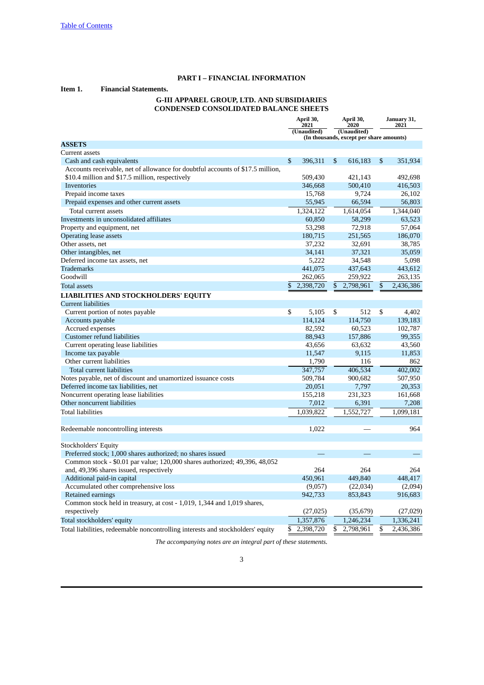## **PART I – FINANCIAL INFORMATION**

## <span id="page-2-1"></span><span id="page-2-0"></span>**Item 1. Financial Statements.**

## **G-III APPAREL GROUP, LTD. AND SUBSIDIARIES CONDENSED CONSOLIDATED BALANCE SHEETS**

<span id="page-2-2"></span>

| (In thousands, except per share amounts)<br><b>ASSETS</b><br>Current assets<br>\$<br>396,311<br>\$<br>\$<br>Cash and cash equivalents<br>616,183<br>351,934<br>Accounts receivable, net of allowance for doubtful accounts of \$17.5 million,<br>\$10.4 million and \$17.5 million, respectively<br>509,430<br>421,143<br>492,698<br>Inventories<br>346,668<br>500,410<br>416,503<br>Prepaid income taxes<br>15,768<br>9,724<br>26,102<br>55,945<br>66,594<br>56,803<br>Prepaid expenses and other current assets<br>1,324,122<br>1,344,040<br>1,614,054<br>Total current assets<br>Investments in unconsolidated affiliates<br>60,850<br>58,299<br>63,523<br>53,298<br>72,918<br>57,064<br>Property and equipment, net<br><b>Operating lease assets</b><br>180,715<br>251,565<br>186,070<br>Other assets, net<br>37,232<br>32,691<br>38,785<br>34,141<br>Other intangibles, net<br>37,321<br>35,059<br>Deferred income tax assets, net<br>5,222<br>34,548<br>5,098<br><b>Trademarks</b><br>441,075<br>437,643<br>443,612<br>Goodwill<br>262,065<br>259,922<br>263,135<br>2,398,720<br>\$<br>2,798,961<br>\$<br>2,436,386<br>\$<br><b>Total assets</b><br><b>LIABILITIES AND STOCKHOLDERS' EQUITY</b><br><b>Current liabilities</b><br>\$<br>\$<br>Current portion of notes payable<br>5,105<br>\$<br>512<br>4.402<br>Accounts payable<br>114,124<br>114,750<br>139,183<br>Accrued expenses<br>82,592<br>60,523<br>102,787<br>Customer refund liabilities<br>88,943<br>157,886<br>99,355<br>Current operating lease liabilities<br>43,656<br>63,632<br>43,560<br>Income tax payable<br>11,853<br>11,547<br>9,115<br>Other current liabilities<br>1,790<br>116<br>862<br>347,757<br>406,534<br>402,002<br>Total current liabilities<br>Notes payable, net of discount and unamortized issuance costs<br>507,950<br>509,784<br>900,682<br>20,353<br>Deferred income tax liabilities, net<br>20,051<br>7,797<br>Noncurrent operating lease liabilities<br>155,218<br>231,323<br>161,668<br>Other noncurrent liabilities<br>7,012<br>6,391<br>7,208<br><b>Total liabilities</b><br>1,039,822<br>1,552,727<br>1,099,181<br>1,022<br>964<br>Redeemable noncontrolling interests<br>Stockholders' Equity<br>Preferred stock; 1,000 shares authorized; no shares issued<br>Common stock - \$0.01 par value; 120,000 shares authorized; 49,396, 48,052<br>and, 49,396 shares issued, respectively<br>264<br>264<br>264<br>450,961<br>449,840<br>448,417<br>Additional paid-in capital<br>Accumulated other comprehensive loss<br>(9,057)<br>(22,034)<br>(2,094)<br>942,733<br>853,843<br>916,683<br>Retained earnings<br>Common stock held in treasury, at cost - 1,019, 1,344 and 1,019 shares,<br>respectively<br>(27, 025)<br>(27, 029)<br>(35,679)<br>Total stockholders' equity<br>1,357,876<br>1,246,234<br>1,336,241 |                                                                                 | April 30,<br>2021 |             | April 30,<br>2020<br>(Unaudited) |           | January 31,<br>2021 |           |  |
|--------------------------------------------------------------------------------------------------------------------------------------------------------------------------------------------------------------------------------------------------------------------------------------------------------------------------------------------------------------------------------------------------------------------------------------------------------------------------------------------------------------------------------------------------------------------------------------------------------------------------------------------------------------------------------------------------------------------------------------------------------------------------------------------------------------------------------------------------------------------------------------------------------------------------------------------------------------------------------------------------------------------------------------------------------------------------------------------------------------------------------------------------------------------------------------------------------------------------------------------------------------------------------------------------------------------------------------------------------------------------------------------------------------------------------------------------------------------------------------------------------------------------------------------------------------------------------------------------------------------------------------------------------------------------------------------------------------------------------------------------------------------------------------------------------------------------------------------------------------------------------------------------------------------------------------------------------------------------------------------------------------------------------------------------------------------------------------------------------------------------------------------------------------------------------------------------------------------------------------------------------------------------------------------------------------------------------------------------------------------------------------------------------------------------------------------------------------------------------------------------------------------------------------------------------------------------------------------------------------------------------------------------------------------------------------------------------------------------------------------------------------------------------------------------------------------|---------------------------------------------------------------------------------|-------------------|-------------|----------------------------------|-----------|---------------------|-----------|--|
|                                                                                                                                                                                                                                                                                                                                                                                                                                                                                                                                                                                                                                                                                                                                                                                                                                                                                                                                                                                                                                                                                                                                                                                                                                                                                                                                                                                                                                                                                                                                                                                                                                                                                                                                                                                                                                                                                                                                                                                                                                                                                                                                                                                                                                                                                                                                                                                                                                                                                                                                                                                                                                                                                                                                                                                                                    |                                                                                 |                   | (Unaudited) |                                  |           |                     |           |  |
|                                                                                                                                                                                                                                                                                                                                                                                                                                                                                                                                                                                                                                                                                                                                                                                                                                                                                                                                                                                                                                                                                                                                                                                                                                                                                                                                                                                                                                                                                                                                                                                                                                                                                                                                                                                                                                                                                                                                                                                                                                                                                                                                                                                                                                                                                                                                                                                                                                                                                                                                                                                                                                                                                                                                                                                                                    |                                                                                 |                   |             |                                  |           |                     |           |  |
|                                                                                                                                                                                                                                                                                                                                                                                                                                                                                                                                                                                                                                                                                                                                                                                                                                                                                                                                                                                                                                                                                                                                                                                                                                                                                                                                                                                                                                                                                                                                                                                                                                                                                                                                                                                                                                                                                                                                                                                                                                                                                                                                                                                                                                                                                                                                                                                                                                                                                                                                                                                                                                                                                                                                                                                                                    |                                                                                 |                   |             |                                  |           |                     |           |  |
|                                                                                                                                                                                                                                                                                                                                                                                                                                                                                                                                                                                                                                                                                                                                                                                                                                                                                                                                                                                                                                                                                                                                                                                                                                                                                                                                                                                                                                                                                                                                                                                                                                                                                                                                                                                                                                                                                                                                                                                                                                                                                                                                                                                                                                                                                                                                                                                                                                                                                                                                                                                                                                                                                                                                                                                                                    |                                                                                 |                   |             |                                  |           |                     |           |  |
|                                                                                                                                                                                                                                                                                                                                                                                                                                                                                                                                                                                                                                                                                                                                                                                                                                                                                                                                                                                                                                                                                                                                                                                                                                                                                                                                                                                                                                                                                                                                                                                                                                                                                                                                                                                                                                                                                                                                                                                                                                                                                                                                                                                                                                                                                                                                                                                                                                                                                                                                                                                                                                                                                                                                                                                                                    |                                                                                 |                   |             |                                  |           |                     |           |  |
|                                                                                                                                                                                                                                                                                                                                                                                                                                                                                                                                                                                                                                                                                                                                                                                                                                                                                                                                                                                                                                                                                                                                                                                                                                                                                                                                                                                                                                                                                                                                                                                                                                                                                                                                                                                                                                                                                                                                                                                                                                                                                                                                                                                                                                                                                                                                                                                                                                                                                                                                                                                                                                                                                                                                                                                                                    |                                                                                 |                   |             |                                  |           |                     |           |  |
|                                                                                                                                                                                                                                                                                                                                                                                                                                                                                                                                                                                                                                                                                                                                                                                                                                                                                                                                                                                                                                                                                                                                                                                                                                                                                                                                                                                                                                                                                                                                                                                                                                                                                                                                                                                                                                                                                                                                                                                                                                                                                                                                                                                                                                                                                                                                                                                                                                                                                                                                                                                                                                                                                                                                                                                                                    |                                                                                 |                   |             |                                  |           |                     |           |  |
|                                                                                                                                                                                                                                                                                                                                                                                                                                                                                                                                                                                                                                                                                                                                                                                                                                                                                                                                                                                                                                                                                                                                                                                                                                                                                                                                                                                                                                                                                                                                                                                                                                                                                                                                                                                                                                                                                                                                                                                                                                                                                                                                                                                                                                                                                                                                                                                                                                                                                                                                                                                                                                                                                                                                                                                                                    |                                                                                 |                   |             |                                  |           |                     |           |  |
|                                                                                                                                                                                                                                                                                                                                                                                                                                                                                                                                                                                                                                                                                                                                                                                                                                                                                                                                                                                                                                                                                                                                                                                                                                                                                                                                                                                                                                                                                                                                                                                                                                                                                                                                                                                                                                                                                                                                                                                                                                                                                                                                                                                                                                                                                                                                                                                                                                                                                                                                                                                                                                                                                                                                                                                                                    |                                                                                 |                   |             |                                  |           |                     |           |  |
|                                                                                                                                                                                                                                                                                                                                                                                                                                                                                                                                                                                                                                                                                                                                                                                                                                                                                                                                                                                                                                                                                                                                                                                                                                                                                                                                                                                                                                                                                                                                                                                                                                                                                                                                                                                                                                                                                                                                                                                                                                                                                                                                                                                                                                                                                                                                                                                                                                                                                                                                                                                                                                                                                                                                                                                                                    |                                                                                 |                   |             |                                  |           |                     |           |  |
|                                                                                                                                                                                                                                                                                                                                                                                                                                                                                                                                                                                                                                                                                                                                                                                                                                                                                                                                                                                                                                                                                                                                                                                                                                                                                                                                                                                                                                                                                                                                                                                                                                                                                                                                                                                                                                                                                                                                                                                                                                                                                                                                                                                                                                                                                                                                                                                                                                                                                                                                                                                                                                                                                                                                                                                                                    |                                                                                 |                   |             |                                  |           |                     |           |  |
|                                                                                                                                                                                                                                                                                                                                                                                                                                                                                                                                                                                                                                                                                                                                                                                                                                                                                                                                                                                                                                                                                                                                                                                                                                                                                                                                                                                                                                                                                                                                                                                                                                                                                                                                                                                                                                                                                                                                                                                                                                                                                                                                                                                                                                                                                                                                                                                                                                                                                                                                                                                                                                                                                                                                                                                                                    |                                                                                 |                   |             |                                  |           |                     |           |  |
|                                                                                                                                                                                                                                                                                                                                                                                                                                                                                                                                                                                                                                                                                                                                                                                                                                                                                                                                                                                                                                                                                                                                                                                                                                                                                                                                                                                                                                                                                                                                                                                                                                                                                                                                                                                                                                                                                                                                                                                                                                                                                                                                                                                                                                                                                                                                                                                                                                                                                                                                                                                                                                                                                                                                                                                                                    |                                                                                 |                   |             |                                  |           |                     |           |  |
|                                                                                                                                                                                                                                                                                                                                                                                                                                                                                                                                                                                                                                                                                                                                                                                                                                                                                                                                                                                                                                                                                                                                                                                                                                                                                                                                                                                                                                                                                                                                                                                                                                                                                                                                                                                                                                                                                                                                                                                                                                                                                                                                                                                                                                                                                                                                                                                                                                                                                                                                                                                                                                                                                                                                                                                                                    |                                                                                 |                   |             |                                  |           |                     |           |  |
|                                                                                                                                                                                                                                                                                                                                                                                                                                                                                                                                                                                                                                                                                                                                                                                                                                                                                                                                                                                                                                                                                                                                                                                                                                                                                                                                                                                                                                                                                                                                                                                                                                                                                                                                                                                                                                                                                                                                                                                                                                                                                                                                                                                                                                                                                                                                                                                                                                                                                                                                                                                                                                                                                                                                                                                                                    |                                                                                 |                   |             |                                  |           |                     |           |  |
|                                                                                                                                                                                                                                                                                                                                                                                                                                                                                                                                                                                                                                                                                                                                                                                                                                                                                                                                                                                                                                                                                                                                                                                                                                                                                                                                                                                                                                                                                                                                                                                                                                                                                                                                                                                                                                                                                                                                                                                                                                                                                                                                                                                                                                                                                                                                                                                                                                                                                                                                                                                                                                                                                                                                                                                                                    |                                                                                 |                   |             |                                  |           |                     |           |  |
|                                                                                                                                                                                                                                                                                                                                                                                                                                                                                                                                                                                                                                                                                                                                                                                                                                                                                                                                                                                                                                                                                                                                                                                                                                                                                                                                                                                                                                                                                                                                                                                                                                                                                                                                                                                                                                                                                                                                                                                                                                                                                                                                                                                                                                                                                                                                                                                                                                                                                                                                                                                                                                                                                                                                                                                                                    |                                                                                 |                   |             |                                  |           |                     |           |  |
|                                                                                                                                                                                                                                                                                                                                                                                                                                                                                                                                                                                                                                                                                                                                                                                                                                                                                                                                                                                                                                                                                                                                                                                                                                                                                                                                                                                                                                                                                                                                                                                                                                                                                                                                                                                                                                                                                                                                                                                                                                                                                                                                                                                                                                                                                                                                                                                                                                                                                                                                                                                                                                                                                                                                                                                                                    |                                                                                 |                   |             |                                  |           |                     |           |  |
|                                                                                                                                                                                                                                                                                                                                                                                                                                                                                                                                                                                                                                                                                                                                                                                                                                                                                                                                                                                                                                                                                                                                                                                                                                                                                                                                                                                                                                                                                                                                                                                                                                                                                                                                                                                                                                                                                                                                                                                                                                                                                                                                                                                                                                                                                                                                                                                                                                                                                                                                                                                                                                                                                                                                                                                                                    |                                                                                 |                   |             |                                  |           |                     |           |  |
|                                                                                                                                                                                                                                                                                                                                                                                                                                                                                                                                                                                                                                                                                                                                                                                                                                                                                                                                                                                                                                                                                                                                                                                                                                                                                                                                                                                                                                                                                                                                                                                                                                                                                                                                                                                                                                                                                                                                                                                                                                                                                                                                                                                                                                                                                                                                                                                                                                                                                                                                                                                                                                                                                                                                                                                                                    |                                                                                 |                   |             |                                  |           |                     |           |  |
|                                                                                                                                                                                                                                                                                                                                                                                                                                                                                                                                                                                                                                                                                                                                                                                                                                                                                                                                                                                                                                                                                                                                                                                                                                                                                                                                                                                                                                                                                                                                                                                                                                                                                                                                                                                                                                                                                                                                                                                                                                                                                                                                                                                                                                                                                                                                                                                                                                                                                                                                                                                                                                                                                                                                                                                                                    |                                                                                 |                   |             |                                  |           |                     |           |  |
|                                                                                                                                                                                                                                                                                                                                                                                                                                                                                                                                                                                                                                                                                                                                                                                                                                                                                                                                                                                                                                                                                                                                                                                                                                                                                                                                                                                                                                                                                                                                                                                                                                                                                                                                                                                                                                                                                                                                                                                                                                                                                                                                                                                                                                                                                                                                                                                                                                                                                                                                                                                                                                                                                                                                                                                                                    |                                                                                 |                   |             |                                  |           |                     |           |  |
|                                                                                                                                                                                                                                                                                                                                                                                                                                                                                                                                                                                                                                                                                                                                                                                                                                                                                                                                                                                                                                                                                                                                                                                                                                                                                                                                                                                                                                                                                                                                                                                                                                                                                                                                                                                                                                                                                                                                                                                                                                                                                                                                                                                                                                                                                                                                                                                                                                                                                                                                                                                                                                                                                                                                                                                                                    |                                                                                 |                   |             |                                  |           |                     |           |  |
|                                                                                                                                                                                                                                                                                                                                                                                                                                                                                                                                                                                                                                                                                                                                                                                                                                                                                                                                                                                                                                                                                                                                                                                                                                                                                                                                                                                                                                                                                                                                                                                                                                                                                                                                                                                                                                                                                                                                                                                                                                                                                                                                                                                                                                                                                                                                                                                                                                                                                                                                                                                                                                                                                                                                                                                                                    |                                                                                 |                   |             |                                  |           |                     |           |  |
|                                                                                                                                                                                                                                                                                                                                                                                                                                                                                                                                                                                                                                                                                                                                                                                                                                                                                                                                                                                                                                                                                                                                                                                                                                                                                                                                                                                                                                                                                                                                                                                                                                                                                                                                                                                                                                                                                                                                                                                                                                                                                                                                                                                                                                                                                                                                                                                                                                                                                                                                                                                                                                                                                                                                                                                                                    |                                                                                 |                   |             |                                  |           |                     |           |  |
|                                                                                                                                                                                                                                                                                                                                                                                                                                                                                                                                                                                                                                                                                                                                                                                                                                                                                                                                                                                                                                                                                                                                                                                                                                                                                                                                                                                                                                                                                                                                                                                                                                                                                                                                                                                                                                                                                                                                                                                                                                                                                                                                                                                                                                                                                                                                                                                                                                                                                                                                                                                                                                                                                                                                                                                                                    |                                                                                 |                   |             |                                  |           |                     |           |  |
|                                                                                                                                                                                                                                                                                                                                                                                                                                                                                                                                                                                                                                                                                                                                                                                                                                                                                                                                                                                                                                                                                                                                                                                                                                                                                                                                                                                                                                                                                                                                                                                                                                                                                                                                                                                                                                                                                                                                                                                                                                                                                                                                                                                                                                                                                                                                                                                                                                                                                                                                                                                                                                                                                                                                                                                                                    |                                                                                 |                   |             |                                  |           |                     |           |  |
|                                                                                                                                                                                                                                                                                                                                                                                                                                                                                                                                                                                                                                                                                                                                                                                                                                                                                                                                                                                                                                                                                                                                                                                                                                                                                                                                                                                                                                                                                                                                                                                                                                                                                                                                                                                                                                                                                                                                                                                                                                                                                                                                                                                                                                                                                                                                                                                                                                                                                                                                                                                                                                                                                                                                                                                                                    |                                                                                 |                   |             |                                  |           |                     |           |  |
|                                                                                                                                                                                                                                                                                                                                                                                                                                                                                                                                                                                                                                                                                                                                                                                                                                                                                                                                                                                                                                                                                                                                                                                                                                                                                                                                                                                                                                                                                                                                                                                                                                                                                                                                                                                                                                                                                                                                                                                                                                                                                                                                                                                                                                                                                                                                                                                                                                                                                                                                                                                                                                                                                                                                                                                                                    |                                                                                 |                   |             |                                  |           |                     |           |  |
|                                                                                                                                                                                                                                                                                                                                                                                                                                                                                                                                                                                                                                                                                                                                                                                                                                                                                                                                                                                                                                                                                                                                                                                                                                                                                                                                                                                                                                                                                                                                                                                                                                                                                                                                                                                                                                                                                                                                                                                                                                                                                                                                                                                                                                                                                                                                                                                                                                                                                                                                                                                                                                                                                                                                                                                                                    |                                                                                 |                   |             |                                  |           |                     |           |  |
|                                                                                                                                                                                                                                                                                                                                                                                                                                                                                                                                                                                                                                                                                                                                                                                                                                                                                                                                                                                                                                                                                                                                                                                                                                                                                                                                                                                                                                                                                                                                                                                                                                                                                                                                                                                                                                                                                                                                                                                                                                                                                                                                                                                                                                                                                                                                                                                                                                                                                                                                                                                                                                                                                                                                                                                                                    |                                                                                 |                   |             |                                  |           |                     |           |  |
|                                                                                                                                                                                                                                                                                                                                                                                                                                                                                                                                                                                                                                                                                                                                                                                                                                                                                                                                                                                                                                                                                                                                                                                                                                                                                                                                                                                                                                                                                                                                                                                                                                                                                                                                                                                                                                                                                                                                                                                                                                                                                                                                                                                                                                                                                                                                                                                                                                                                                                                                                                                                                                                                                                                                                                                                                    |                                                                                 |                   |             |                                  |           |                     |           |  |
|                                                                                                                                                                                                                                                                                                                                                                                                                                                                                                                                                                                                                                                                                                                                                                                                                                                                                                                                                                                                                                                                                                                                                                                                                                                                                                                                                                                                                                                                                                                                                                                                                                                                                                                                                                                                                                                                                                                                                                                                                                                                                                                                                                                                                                                                                                                                                                                                                                                                                                                                                                                                                                                                                                                                                                                                                    |                                                                                 |                   |             |                                  |           |                     |           |  |
|                                                                                                                                                                                                                                                                                                                                                                                                                                                                                                                                                                                                                                                                                                                                                                                                                                                                                                                                                                                                                                                                                                                                                                                                                                                                                                                                                                                                                                                                                                                                                                                                                                                                                                                                                                                                                                                                                                                                                                                                                                                                                                                                                                                                                                                                                                                                                                                                                                                                                                                                                                                                                                                                                                                                                                                                                    |                                                                                 |                   |             |                                  |           |                     |           |  |
|                                                                                                                                                                                                                                                                                                                                                                                                                                                                                                                                                                                                                                                                                                                                                                                                                                                                                                                                                                                                                                                                                                                                                                                                                                                                                                                                                                                                                                                                                                                                                                                                                                                                                                                                                                                                                                                                                                                                                                                                                                                                                                                                                                                                                                                                                                                                                                                                                                                                                                                                                                                                                                                                                                                                                                                                                    |                                                                                 |                   |             |                                  |           |                     |           |  |
|                                                                                                                                                                                                                                                                                                                                                                                                                                                                                                                                                                                                                                                                                                                                                                                                                                                                                                                                                                                                                                                                                                                                                                                                                                                                                                                                                                                                                                                                                                                                                                                                                                                                                                                                                                                                                                                                                                                                                                                                                                                                                                                                                                                                                                                                                                                                                                                                                                                                                                                                                                                                                                                                                                                                                                                                                    |                                                                                 |                   |             |                                  |           |                     |           |  |
|                                                                                                                                                                                                                                                                                                                                                                                                                                                                                                                                                                                                                                                                                                                                                                                                                                                                                                                                                                                                                                                                                                                                                                                                                                                                                                                                                                                                                                                                                                                                                                                                                                                                                                                                                                                                                                                                                                                                                                                                                                                                                                                                                                                                                                                                                                                                                                                                                                                                                                                                                                                                                                                                                                                                                                                                                    |                                                                                 |                   |             |                                  |           |                     |           |  |
|                                                                                                                                                                                                                                                                                                                                                                                                                                                                                                                                                                                                                                                                                                                                                                                                                                                                                                                                                                                                                                                                                                                                                                                                                                                                                                                                                                                                                                                                                                                                                                                                                                                                                                                                                                                                                                                                                                                                                                                                                                                                                                                                                                                                                                                                                                                                                                                                                                                                                                                                                                                                                                                                                                                                                                                                                    |                                                                                 |                   |             |                                  |           |                     |           |  |
|                                                                                                                                                                                                                                                                                                                                                                                                                                                                                                                                                                                                                                                                                                                                                                                                                                                                                                                                                                                                                                                                                                                                                                                                                                                                                                                                                                                                                                                                                                                                                                                                                                                                                                                                                                                                                                                                                                                                                                                                                                                                                                                                                                                                                                                                                                                                                                                                                                                                                                                                                                                                                                                                                                                                                                                                                    |                                                                                 |                   |             |                                  |           |                     |           |  |
|                                                                                                                                                                                                                                                                                                                                                                                                                                                                                                                                                                                                                                                                                                                                                                                                                                                                                                                                                                                                                                                                                                                                                                                                                                                                                                                                                                                                                                                                                                                                                                                                                                                                                                                                                                                                                                                                                                                                                                                                                                                                                                                                                                                                                                                                                                                                                                                                                                                                                                                                                                                                                                                                                                                                                                                                                    |                                                                                 |                   |             |                                  |           |                     |           |  |
|                                                                                                                                                                                                                                                                                                                                                                                                                                                                                                                                                                                                                                                                                                                                                                                                                                                                                                                                                                                                                                                                                                                                                                                                                                                                                                                                                                                                                                                                                                                                                                                                                                                                                                                                                                                                                                                                                                                                                                                                                                                                                                                                                                                                                                                                                                                                                                                                                                                                                                                                                                                                                                                                                                                                                                                                                    |                                                                                 |                   |             |                                  |           |                     |           |  |
|                                                                                                                                                                                                                                                                                                                                                                                                                                                                                                                                                                                                                                                                                                                                                                                                                                                                                                                                                                                                                                                                                                                                                                                                                                                                                                                                                                                                                                                                                                                                                                                                                                                                                                                                                                                                                                                                                                                                                                                                                                                                                                                                                                                                                                                                                                                                                                                                                                                                                                                                                                                                                                                                                                                                                                                                                    |                                                                                 |                   |             |                                  |           |                     |           |  |
|                                                                                                                                                                                                                                                                                                                                                                                                                                                                                                                                                                                                                                                                                                                                                                                                                                                                                                                                                                                                                                                                                                                                                                                                                                                                                                                                                                                                                                                                                                                                                                                                                                                                                                                                                                                                                                                                                                                                                                                                                                                                                                                                                                                                                                                                                                                                                                                                                                                                                                                                                                                                                                                                                                                                                                                                                    |                                                                                 |                   |             |                                  |           |                     |           |  |
|                                                                                                                                                                                                                                                                                                                                                                                                                                                                                                                                                                                                                                                                                                                                                                                                                                                                                                                                                                                                                                                                                                                                                                                                                                                                                                                                                                                                                                                                                                                                                                                                                                                                                                                                                                                                                                                                                                                                                                                                                                                                                                                                                                                                                                                                                                                                                                                                                                                                                                                                                                                                                                                                                                                                                                                                                    |                                                                                 |                   |             |                                  |           |                     |           |  |
|                                                                                                                                                                                                                                                                                                                                                                                                                                                                                                                                                                                                                                                                                                                                                                                                                                                                                                                                                                                                                                                                                                                                                                                                                                                                                                                                                                                                                                                                                                                                                                                                                                                                                                                                                                                                                                                                                                                                                                                                                                                                                                                                                                                                                                                                                                                                                                                                                                                                                                                                                                                                                                                                                                                                                                                                                    |                                                                                 |                   |             |                                  |           |                     |           |  |
|                                                                                                                                                                                                                                                                                                                                                                                                                                                                                                                                                                                                                                                                                                                                                                                                                                                                                                                                                                                                                                                                                                                                                                                                                                                                                                                                                                                                                                                                                                                                                                                                                                                                                                                                                                                                                                                                                                                                                                                                                                                                                                                                                                                                                                                                                                                                                                                                                                                                                                                                                                                                                                                                                                                                                                                                                    |                                                                                 |                   |             |                                  |           |                     |           |  |
|                                                                                                                                                                                                                                                                                                                                                                                                                                                                                                                                                                                                                                                                                                                                                                                                                                                                                                                                                                                                                                                                                                                                                                                                                                                                                                                                                                                                                                                                                                                                                                                                                                                                                                                                                                                                                                                                                                                                                                                                                                                                                                                                                                                                                                                                                                                                                                                                                                                                                                                                                                                                                                                                                                                                                                                                                    |                                                                                 |                   |             |                                  |           |                     |           |  |
|                                                                                                                                                                                                                                                                                                                                                                                                                                                                                                                                                                                                                                                                                                                                                                                                                                                                                                                                                                                                                                                                                                                                                                                                                                                                                                                                                                                                                                                                                                                                                                                                                                                                                                                                                                                                                                                                                                                                                                                                                                                                                                                                                                                                                                                                                                                                                                                                                                                                                                                                                                                                                                                                                                                                                                                                                    | Total liabilities, redeemable noncontrolling interests and stockholders' equity | \$                | 2,398,720   | \$                               | 2,798,961 | \$                  | 2,436,386 |  |

*The accompanying notes are an integral part of these statements.*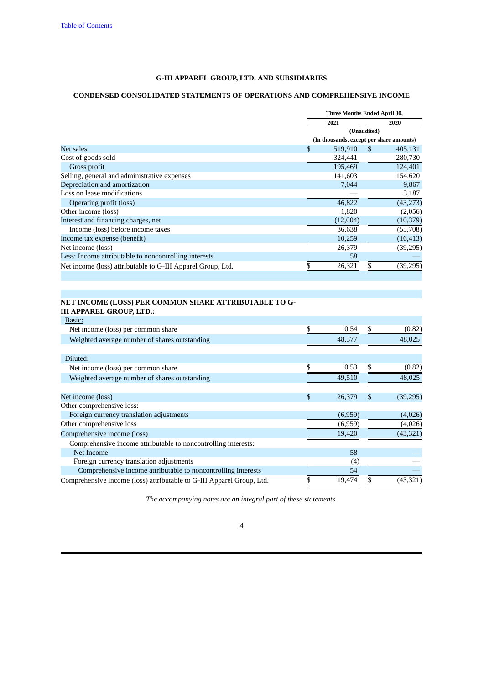## <span id="page-3-0"></span>**CONDENSED CONSOLIDATED STATEMENTS OF OPERATIONS AND COMPREHENSIVE INCOME**

|                                                             | Three Months Ended April 30, |                                          |  |  |
|-------------------------------------------------------------|------------------------------|------------------------------------------|--|--|
|                                                             | 2021                         | 2020                                     |  |  |
|                                                             |                              | (Unaudited)                              |  |  |
|                                                             |                              | (In thousands, except per share amounts) |  |  |
| Net sales                                                   | \$<br>519,910                | 405,131<br>-\$                           |  |  |
| Cost of goods sold                                          | 324,441                      | 280,730                                  |  |  |
| Gross profit                                                | 195,469                      | 124,401                                  |  |  |
| Selling, general and administrative expenses                | 141,603                      | 154,620                                  |  |  |
| Depreciation and amortization                               | 7,044                        | 9,867                                    |  |  |
| Loss on lease modifications                                 |                              | 3,187                                    |  |  |
| Operating profit (loss)                                     | 46,822                       | (43, 273)                                |  |  |
| Other income (loss)                                         | 1,820                        | (2,056)                                  |  |  |
| Interest and financing charges, net                         | (12,004)                     | (10, 379)                                |  |  |
| Income (loss) before income taxes                           | 36,638                       | (55,708)                                 |  |  |
| Income tax expense (benefit)                                | 10,259                       | (16, 413)                                |  |  |
| Net income (loss)                                           | 26,379                       | (39, 295)                                |  |  |
| Less: Income attributable to noncontrolling interests       | 58                           |                                          |  |  |
| Net income (loss) attributable to G-III Apparel Group, Ltd. | 26,321                       | \$<br>(39, 295)                          |  |  |

## **NET INCOME (LOSS) PER COMMON SHARE ATTRIBUTABLE TO G-III APPAREL GROUP, LTD.:**

| Basic:                                                                |    |         |                 |
|-----------------------------------------------------------------------|----|---------|-----------------|
| Net income (loss) per common share                                    |    | 0.54    | \$<br>(0.82)    |
| Weighted average number of shares outstanding                         |    | 48,377  | 48,025          |
| Diluted:                                                              |    |         |                 |
|                                                                       | ፍ  |         |                 |
| Net income (loss) per common share                                    |    | 0.53    | \$<br>(0.82)    |
| Weighted average number of shares outstanding                         |    | 49,510  | 48,025          |
|                                                                       |    |         |                 |
| Net income (loss)                                                     | \$ | 26,379  | \$<br>(39, 295) |
| Other comprehensive loss:                                             |    |         |                 |
| Foreign currency translation adjustments                              |    | (6,959) | (4,026)         |
| Other comprehensive loss                                              |    | (6,959) | (4,026)         |
| Comprehensive income (loss)                                           |    | 19,420  | (43, 321)       |
| Comprehensive income attributable to noncontrolling interests:        |    |         |                 |
| Net Income                                                            |    | 58      |                 |
| Foreign currency translation adjustments                              |    | (4)     |                 |
| Comprehensive income attributable to noncontrolling interests         |    | 54      |                 |
| Comprehensive income (loss) attributable to G-III Apparel Group, Ltd. |    | 19,474  | (43, 321)       |

*The accompanying notes are an integral part of these statements.*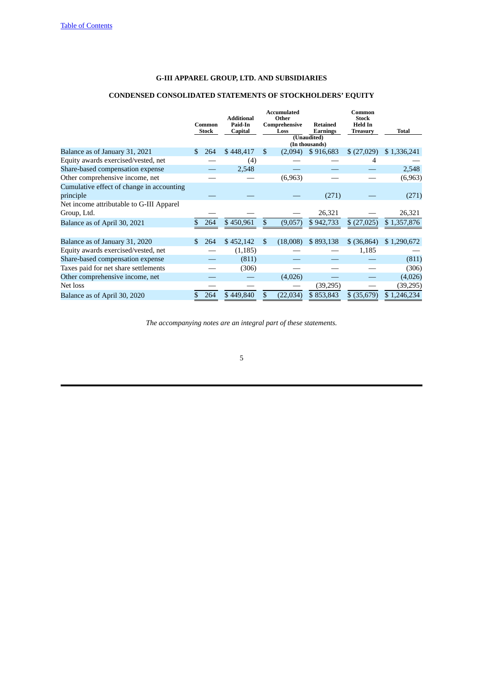<span id="page-4-0"></span>

|                                           |     | Common<br><b>Stock</b> | <b>Additional</b><br>Paid-In<br>Capital |     | <b>Accumulated</b><br>Other<br>Comprehensive<br>Loss | <b>Retained</b><br><b>Earnings</b> | Common<br><b>Stock</b><br><b>Held In</b><br><b>Treasury</b> | Total       |
|-------------------------------------------|-----|------------------------|-----------------------------------------|-----|------------------------------------------------------|------------------------------------|-------------------------------------------------------------|-------------|
|                                           |     |                        |                                         |     |                                                      | (Unaudited)<br>(In thousands)      |                                                             |             |
| Balance as of January 31, 2021            | \$  | 264                    | \$448,417                               | \$  | (2,094)                                              | \$916,683                          | \$(27,029)                                                  | \$1,336,241 |
| Equity awards exercised/vested, net       |     |                        | (4)                                     |     |                                                      |                                    | 4                                                           |             |
| Share-based compensation expense          |     |                        | 2,548                                   |     |                                                      |                                    |                                                             | 2,548       |
| Other comprehensive income, net           |     |                        |                                         |     | (6,963)                                              |                                    |                                                             | (6,963)     |
| Cumulative effect of change in accounting |     |                        |                                         |     |                                                      |                                    |                                                             |             |
| principle                                 |     |                        |                                         |     |                                                      | (271)                              |                                                             | (271)       |
| Net income attributable to G-III Apparel  |     |                        |                                         |     |                                                      |                                    |                                                             |             |
| Group, Ltd.                               |     |                        |                                         |     |                                                      | 26,321                             |                                                             | 26,321      |
| Balance as of April 30, 2021              |     | 264                    | \$450,961                               | \$  | (9,057)                                              | \$942,733                          | \$(27,025)                                                  | \$1,357,876 |
|                                           |     |                        |                                         |     |                                                      |                                    |                                                             |             |
| Balance as of January 31, 2020            | \$. | 264                    | \$452,142                               | \$. | (18,008)                                             | \$893,138                          | \$ (36,864)                                                 | \$1,290,672 |
| Equity awards exercised/vested, net       |     |                        | (1, 185)                                |     |                                                      |                                    | 1,185                                                       |             |
| Share-based compensation expense          |     |                        | (811)                                   |     |                                                      |                                    |                                                             | (811)       |
| Taxes paid for net share settlements      |     |                        | (306)                                   |     |                                                      |                                    |                                                             | (306)       |
| Other comprehensive income, net           |     |                        |                                         |     | (4,026)                                              |                                    |                                                             | (4,026)     |
| Net loss                                  |     |                        |                                         |     |                                                      | (39,295)                           |                                                             | (39, 295)   |
| Balance as of April 30, 2020              | \$  | 264                    | \$449,840                               | \$  | (22, 034)                                            | \$853,843                          | \$ (35,679)                                                 | \$1,246,234 |

## **CONDENSED CONSOLIDATED STATEMENTS OF STOCKHOLDERS' EQUITY**

*The accompanying notes are an integral part of these statements.*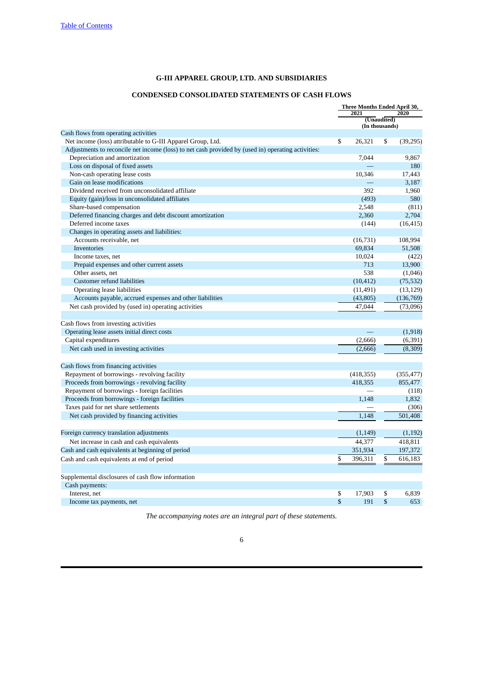## **CONDENSED CONSOLIDATED STATEMENTS OF CASH FLOWS**

<span id="page-5-0"></span>

|                                                                                                    | Three Months Ended April 30, |                |          |            |
|----------------------------------------------------------------------------------------------------|------------------------------|----------------|----------|------------|
|                                                                                                    | 2021<br>(Unaudited)          |                |          | 2020       |
|                                                                                                    |                              | (In thousands) |          |            |
| Cash flows from operating activities                                                               |                              |                |          |            |
| Net income (loss) attributable to G-III Apparel Group, Ltd.                                        | \$                           | 26,321         | \$       | (39, 295)  |
| Adjustments to reconcile net income (loss) to net cash provided by (used in) operating activities: |                              |                |          |            |
| Depreciation and amortization                                                                      |                              | 7,044          |          | 9,867      |
| Loss on disposal of fixed assets                                                                   |                              |                |          | 180        |
| Non-cash operating lease costs                                                                     |                              | 10,346         |          | 17,443     |
| Gain on lease modifications                                                                        |                              |                |          | 3,187      |
| Dividend received from unconsolidated affiliate                                                    |                              | 392            |          | 1,960      |
| Equity (gain)/loss in unconsolidated affiliates                                                    |                              | (493)          |          | 580        |
| Share-based compensation                                                                           |                              | 2,548          |          | (811)      |
| Deferred financing charges and debt discount amortization                                          |                              | 2,360          |          | 2,704      |
| Deferred income taxes                                                                              |                              | (144)          |          | (16, 415)  |
| Changes in operating assets and liabilities:                                                       |                              |                |          |            |
| Accounts receivable, net                                                                           |                              | (16, 731)      |          | 108,994    |
| Inventories                                                                                        |                              | 69,834         |          | 51,508     |
| Income taxes, net                                                                                  |                              | 10,024         |          | (422)      |
| Prepaid expenses and other current assets                                                          |                              | 713            |          | 13,900     |
| Other assets, net                                                                                  |                              | 538            |          | (1,046)    |
| Customer refund liabilities                                                                        |                              | (10, 412)      |          | (75, 532)  |
| Operating lease liabilities                                                                        |                              | (11, 491)      |          | (13, 129)  |
| Accounts payable, accrued expenses and other liabilities                                           |                              | (43,805)       |          | (136, 769) |
| Net cash provided by (used in) operating activities                                                |                              | 47,044         |          | (73,096)   |
|                                                                                                    |                              |                |          |            |
| Cash flows from investing activities                                                               |                              |                |          |            |
| Operating lease assets initial direct costs                                                        |                              |                |          | (1,918)    |
| Capital expenditures                                                                               |                              | (2,666)        |          | (6, 391)   |
| Net cash used in investing activities                                                              |                              | (2,666)        |          | (8,309)    |
|                                                                                                    |                              |                |          |            |
| Cash flows from financing activities                                                               |                              |                |          |            |
| Repayment of borrowings - revolving facility                                                       |                              | (418, 355)     |          | (355, 477) |
| Proceeds from borrowings - revolving facility                                                      |                              | 418,355        |          | 855,477    |
| Repayment of borrowings - foreign facilities                                                       |                              |                |          | (118)      |
| Proceeds from borrowings - foreign facilities                                                      |                              | 1.148          |          | 1,832      |
| Taxes paid for net share settlements                                                               |                              |                |          | (306)      |
| Net cash provided by financing activities                                                          |                              | 1,148          |          | 501,408    |
|                                                                                                    |                              |                |          |            |
| Foreign currency translation adjustments                                                           |                              | (1, 149)       |          | (1,192)    |
| Net increase in cash and cash equivalents                                                          |                              | 44,377         |          | 418,811    |
| Cash and cash equivalents at beginning of period                                                   |                              | 351,934        |          | 197,372    |
| Cash and cash equivalents at end of period                                                         | \$                           | 396,311        | \$       | 616,183    |
|                                                                                                    |                              |                |          |            |
|                                                                                                    |                              |                |          |            |
| Supplemental disclosures of cash flow information                                                  |                              |                |          |            |
| Cash payments:                                                                                     | \$                           | 17,903         |          | 6,839      |
| Interest, net                                                                                      | $\mathbf{\hat{S}}$           | 191            | \$<br>\$ | 653        |
| Income tax payments, net                                                                           |                              |                |          |            |

*The accompanying notes are an integral part of these statements.*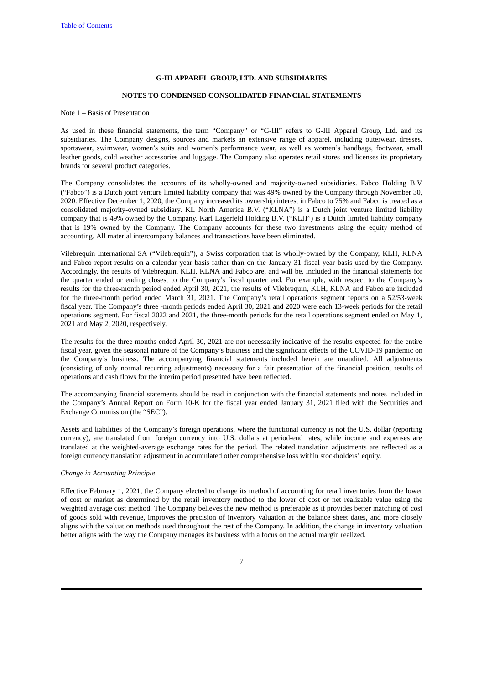## **NOTES TO CONDENSED CONSOLIDATED FINANCIAL STATEMENTS**

## <span id="page-6-0"></span>Note 1 – Basis of Presentation

As used in these financial statements, the term "Company" or "G-III" refers to G-III Apparel Group, Ltd. and its subsidiaries. The Company designs, sources and markets an extensive range of apparel, including outerwear, dresses, sportswear, swimwear, women's suits and women's performance wear, as well as women's handbags, footwear, small leather goods, cold weather accessories and luggage. The Company also operates retail stores and licenses its proprietary brands for several product categories.

The Company consolidates the accounts of its wholly-owned and majority-owned subsidiaries. Fabco Holding B.V ("Fabco") is a Dutch joint venture limited liability company that was 49% owned by the Company through November 30, 2020. Effective December 1, 2020, the Company increased its ownership interest in Fabco to 75% and Fabco is treated as a consolidated majority-owned subsidiary. KL North America B.V. ("KLNA") is a Dutch joint venture limited liability company that is 49% owned by the Company. Karl Lagerfeld Holding B.V. ("KLH") is a Dutch limited liability company that is 19% owned by the Company. The Company accounts for these two investments using the equity method of accounting. All material intercompany balances and transactions have been eliminated.

Vilebrequin International SA ("Vilebrequin"), a Swiss corporation that is wholly-owned by the Company, KLH, KLNA and Fabco report results on a calendar year basis rather than on the January 31 fiscal year basis used by the Company. Accordingly, the results of Vilebrequin, KLH, KLNA and Fabco are, and will be, included in the financial statements for the quarter ended or ending closest to the Company's fiscal quarter end. For example, with respect to the Company's results for the three-month period ended April 30, 2021, the results of Vilebrequin, KLH, KLNA and Fabco are included for the three-month period ended March 31, 2021. The Company's retail operations segment reports on a 52/53-week fiscal year. The Company's three -month periods ended April 30, 2021 and 2020 were each 13-week periods for the retail operations segment. For fiscal 2022 and 2021, the three-month periods for the retail operations segment ended on May 1, 2021 and May 2, 2020, respectively.

The results for the three months ended April 30, 2021 are not necessarily indicative of the results expected for the entire fiscal year, given the seasonal nature of the Company's business and the significant effects of the COVID-19 pandemic on the Company's business. The accompanying financial statements included herein are unaudited. All adjustments (consisting of only normal recurring adjustments) necessary for a fair presentation of the financial position, results of operations and cash flows for the interim period presented have been reflected.

The accompanying financial statements should be read in conjunction with the financial statements and notes included in the Company's Annual Report on Form 10-K for the fiscal year ended January 31, 2021 filed with the Securities and Exchange Commission (the "SEC").

Assets and liabilities of the Company's foreign operations, where the functional currency is not the U.S. dollar (reporting currency), are translated from foreign currency into U.S. dollars at period-end rates, while income and expenses are translated at the weighted-average exchange rates for the period. The related translation adjustments are reflected as a foreign currency translation adjustment in accumulated other comprehensive loss within stockholders' equity.

### *Change in Accounting Principle*

Effective February 1, 2021, the Company elected to change its method of accounting for retail inventories from the lower of cost or market as determined by the retail inventory method to the lower of cost or net realizable value using the weighted average cost method. The Company believes the new method is preferable as it provides better matching of cost of goods sold with revenue, improves the precision of inventory valuation at the balance sheet dates, and more closely aligns with the valuation methods used throughout the rest of the Company. In addition, the change in inventory valuation better aligns with the way the Company manages its business with a focus on the actual margin realized.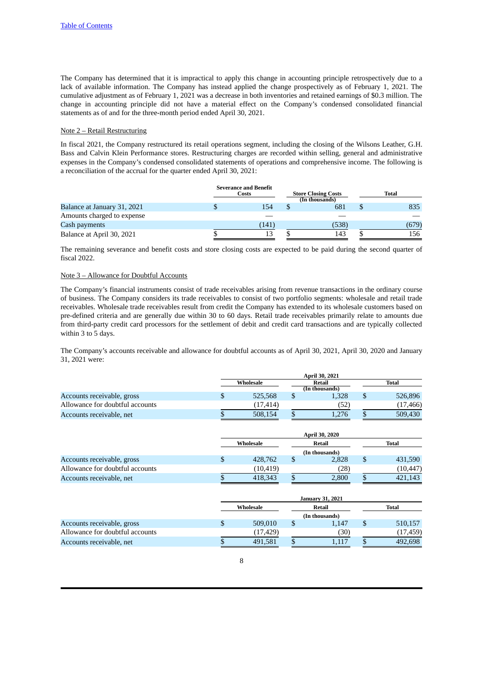The Company has determined that it is impractical to apply this change in accounting principle retrospectively due to a lack of available information. The Company has instead applied the change prospectively as of February 1, 2021. The cumulative adjustment as of February 1, 2021 was a decrease in both inventories and retained earnings of \$0.3 million. The change in accounting principle did not have a material effect on the Company's condensed consolidated financial statements as of and for the three-month period ended April 30, 2021.

## Note 2 – Retail Restructuring

In fiscal 2021, the Company restructured its retail operations segment, including the closing of the Wilsons Leather, G.H. Bass and Calvin Klein Performance stores. Restructuring charges are recorded within selling, general and administrative expenses in the Company's condensed consolidated statements of operations and comprehensive income. The following is a reconciliation of the accrual for the quarter ended April 30, 2021:

|                             | <b>Severance and Benefit</b><br>Costs | <b>Store Closing Costs</b><br>(In thousands) | <b>Total</b> |       |  |
|-----------------------------|---------------------------------------|----------------------------------------------|--------------|-------|--|
| Balance at January 31, 2021 | 154                                   | 681                                          |              | 835   |  |
| Amounts charged to expense  |                                       |                                              |              |       |  |
| Cash payments               | (141)                                 | (538)                                        |              | (679) |  |
| Balance at April 30, 2021   |                                       | 143                                          |              | 156   |  |

The remaining severance and benefit costs and store closing costs are expected to be paid during the second quarter of fiscal 2022.

### Note 3 – Allowance for Doubtful Accounts

The Company's financial instruments consist of trade receivables arising from revenue transactions in the ordinary course of business. The Company considers its trade receivables to consist of two portfolio segments: wholesale and retail trade receivables. Wholesale trade receivables result from credit the Company has extended to its wholesale customers based on pre-defined criteria and are generally due within 30 to 60 days. Retail trade receivables primarily relate to amounts due from third-party credit card processors for the settlement of debit and credit card transactions and are typically collected within 3 to 5 days.

The Company's accounts receivable and allowance for doubtful accounts as of April 30, 2021, April 30, 2020 and January 31, 2021 were:

|                                 |           |  | April 30, 2021 |  |           |
|---------------------------------|-----------|--|----------------|--|-----------|
|                                 | Wholesale |  | Retail         |  | Total     |
|                                 |           |  | (In thousands) |  |           |
| Accounts receivable, gross      | 525,568   |  | 1.328          |  | 526,896   |
| Allowance for doubtful accounts | (17.414)  |  | (52)           |  | (17, 466) |
| Accounts receivable, net        | 508.154   |  | 1.276          |  | 509,430   |
|                                 |           |  |                |  |           |

|                                 | <b>April 30, 2020</b> |   |                |  |          |  |
|---------------------------------|-----------------------|---|----------------|--|----------|--|
|                                 | Wholesale             |   | Retail         |  | Total    |  |
|                                 |                       |   | (In thousands) |  |          |  |
| Accounts receivable, gross      | 428,762               |   | 2.828          |  | 431,590  |  |
| Allowance for doubtful accounts | (10,419)              |   | (28)           |  | (10.447) |  |
| Accounts receivable, net        | 418.343               | Φ | 2,800          |  | 421.143  |  |

|                                 |           | <b>January 31, 2021</b> |    |                |  |           |  |
|---------------------------------|-----------|-------------------------|----|----------------|--|-----------|--|
|                                 | Wholesale |                         |    | Retail         |  | Total     |  |
|                                 |           |                         |    | (In thousands) |  |           |  |
| Accounts receivable, gross      |           | 509,010                 |    | 1.147          |  | 510,157   |  |
| Allowance for doubtful accounts |           | (17.429)                |    | (30)           |  | (17, 459) |  |
| Accounts receivable, net        |           | 491.581                 | ۰D | 1,117          |  | 492,698   |  |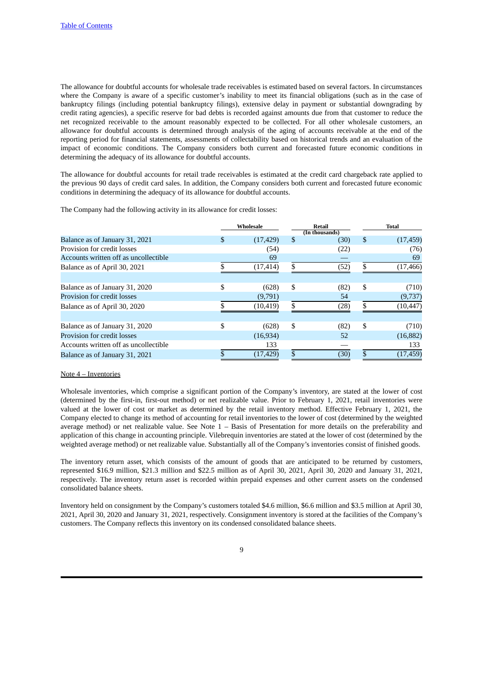The allowance for doubtful accounts for wholesale trade receivables is estimated based on several factors. In circumstances where the Company is aware of a specific customer's inability to meet its financial obligations (such as in the case of bankruptcy filings (including potential bankruptcy filings), extensive delay in payment or substantial downgrading by credit rating agencies), a specific reserve for bad debts is recorded against amounts due from that customer to reduce the net recognized receivable to the amount reasonably expected to be collected. For all other wholesale customers, an allowance for doubtful accounts is determined through analysis of the aging of accounts receivable at the end of the reporting period for financial statements, assessments of collectability based on historical trends and an evaluation of the impact of economic conditions. The Company considers both current and forecasted future economic conditions in determining the adequacy of its allowance for doubtful accounts.

The allowance for doubtful accounts for retail trade receivables is estimated at the credit card chargeback rate applied to the previous 90 days of credit card sales. In addition, the Company considers both current and forecasted future economic conditions in determining the adequacy of its allowance for doubtful accounts.

The Company had the following activity in its allowance for credit losses:

|                                       | Wholesale       |    | Retail<br>$(\overline{\ln}$ thousands) | <b>Total</b> |           |  |
|---------------------------------------|-----------------|----|----------------------------------------|--------------|-----------|--|
| Balance as of January 31, 2021        | \$<br>(17, 429) | \$ | (30)                                   | \$           | (17, 459) |  |
| Provision for credit losses           | (54)            |    | (22)                                   |              | (76)      |  |
| Accounts written off as uncollectible | 69              |    |                                        |              | 69        |  |
| Balance as of April 30, 2021          | (17, 414)       | \$ | (52)                                   | \$           | (17, 466) |  |
|                                       |                 |    |                                        |              |           |  |
| Balance as of January 31, 2020        | \$<br>(628)     | \$ | (82)                                   | \$           | (710)     |  |
| Provision for credit losses           | (9,791)         |    | 54                                     |              | (9,737)   |  |
| Balance as of April 30, 2020          | (10, 419)       | \$ | (28)                                   | \$.          | (10, 447) |  |
|                                       |                 |    |                                        |              |           |  |
| Balance as of January 31, 2020        | \$<br>(628)     | \$ | (82)                                   | \$           | (710)     |  |
| Provision for credit losses           | (16, 934)       |    | 52                                     |              | (16, 882) |  |
| Accounts written off as uncollectible | 133             |    |                                        |              | 133       |  |
| Balance as of January 31, 2021        | (17,429)        | \$ | (30)                                   |              | (17, 459) |  |

### Note 4 – Inventories

Wholesale inventories, which comprise a significant portion of the Company's inventory, are stated at the lower of cost (determined by the first-in, first-out method) or net realizable value. Prior to February 1, 2021, retail inventories were valued at the lower of cost or market as determined by the retail inventory method. Effective February 1, 2021, the Company elected to change its method of accounting for retail inventories to the lower of cost (determined by the weighted average method) or net realizable value. See Note 1 – Basis of Presentation for more details on the preferability and application of this change in accounting principle. Vilebrequin inventories are stated at the lower of cost (determined by the weighted average method) or net realizable value. Substantially all of the Company's inventories consist of finished goods.

The inventory return asset, which consists of the amount of goods that are anticipated to be returned by customers, represented \$16.9 million, \$21.3 million and \$22.5 million as of April 30, 2021, April 30, 2020 and January 31, 2021, respectively. The inventory return asset is recorded within prepaid expenses and other current assets on the condensed consolidated balance sheets.

Inventory held on consignment by the Company's customers totaled \$4.6 million, \$6.6 million and \$3.5 million at April 30, 2021, April 30, 2020 and January 31, 2021, respectively. Consignment inventory is stored at the facilities of the Company's customers. The Company reflects this inventory on its condensed consolidated balance sheets.

<sup>9</sup>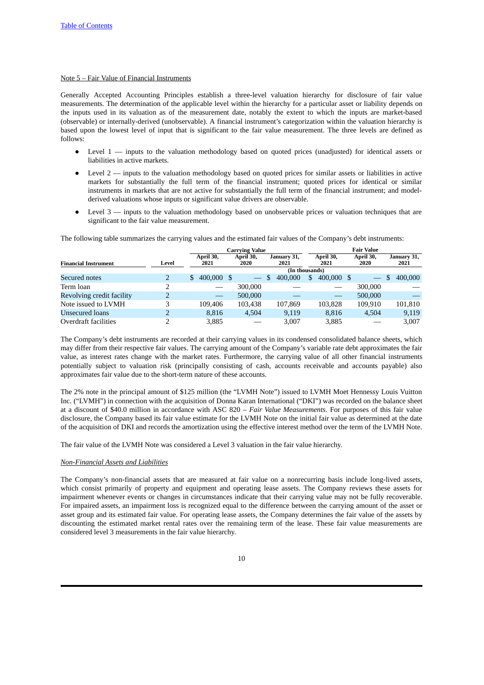## Note 5 – Fair Value of Financial Instruments

Generally Accepted Accounting Principles establish a three-level valuation hierarchy for disclosure of fair value measurements. The determination of the applicable level within the hierarchy for a particular asset or liability depends on the inputs used in its valuation as of the measurement date, notably the extent to which the inputs are market-based (observable) or internally-derived (unobservable). A financial instrument's categorization within the valuation hierarchy is based upon the lowest level of input that is significant to the fair value measurement. The three levels are defined as follows:

- Level 1 inputs to the valuation methodology based on quoted prices (unadjusted) for identical assets or liabilities in active markets.
- Level 2 inputs to the valuation methodology based on quoted prices for similar assets or liabilities in active markets for substantially the full term of the financial instrument; quoted prices for identical or similar instruments in markets that are not active for substantially the full term of the financial instrument; and modelderived valuations whose inputs or significant value drivers are observable.
- Level  $3$  inputs to the valuation methodology based on unobservable prices or valuation techniques that are significant to the fair value measurement.

|                             |               |                   | <b>Carrying Value</b> |                          | <b>Fair Value</b> |                   |                     |  |  |  |  |
|-----------------------------|---------------|-------------------|-----------------------|--------------------------|-------------------|-------------------|---------------------|--|--|--|--|
| <b>Financial Instrument</b> | Level         | April 30,<br>2021 | April 30.<br>2020     | January 31,<br>2021      | April 30,<br>2021 | April 30,<br>2020 | January 31,<br>2021 |  |  |  |  |
|                             |               | (In thousands)    |                       |                          |                   |                   |                     |  |  |  |  |
| Secured notes               |               | $400,000$ \$      |                       | 400,000<br><sup>\$</sup> | \$<br>400,000 \$  |                   | 400,000<br>\$       |  |  |  |  |
| Term loan                   | $\mathcal{D}$ |                   | 300,000               |                          |                   | 300,000           |                     |  |  |  |  |
| Revolving credit facility   |               |                   | 500,000               |                          |                   | 500,000           |                     |  |  |  |  |
| Note issued to LVMH         | 3             | 109.406           | 103.438               | 107,869                  | 103.828           | 109.910           | 101,810             |  |  |  |  |
| Unsecured loans             |               | 8,816             | 4.504                 | 9,119                    | 8.816             | 4.504             | 9,119               |  |  |  |  |
| Overdraft facilities        |               | 3,885             |                       | 3.007                    | 3,885             |                   | 3,007               |  |  |  |  |

The following table summarizes the carrying values and the estimated fair values of the Company's debt instruments:

The Company's debt instruments are recorded at their carrying values in its condensed consolidated balance sheets, which may differ from their respective fair values. The carrying amount of the Company's variable rate debt approximates the fair value, as interest rates change with the market rates. Furthermore, the carrying value of all other financial instruments potentially subject to valuation risk (principally consisting of cash, accounts receivable and accounts payable) also approximates fair value due to the short-term nature of these accounts.

The 2% note in the principal amount of \$125 million (the "LVMH Note") issued to LVMH Moet Hennessy Louis Vuitton Inc. ("LVMH") in connection with the acquisition of Donna Karan International ("DKI") was recorded on the balance sheet at a discount of \$40.0 million in accordance with ASC 820 – *Fair Value Measurements*. For purposes of this fair value disclosure, the Company based its fair value estimate for the LVMH Note on the initial fair value as determined at the date of the acquisition of DKI and records the amortization using the effective interest method over the term of the LVMH Note.

The fair value of the LVMH Note was considered a Level 3 valuation in the fair value hierarchy.

### *Non-Financial Assets and Liabilities*

The Company's non-financial assets that are measured at fair value on a nonrecurring basis include long-lived assets, which consist primarily of property and equipment and operating lease assets. The Company reviews these assets for impairment whenever events or changes in circumstances indicate that their carrying value may not be fully recoverable. For impaired assets, an impairment loss is recognized equal to the difference between the carrying amount of the asset or asset group and its estimated fair value. For operating lease assets, the Company determines the fair value of the assets by discounting the estimated market rental rates over the remaining term of the lease. These fair value measurements are considered level 3 measurements in the fair value hierarchy.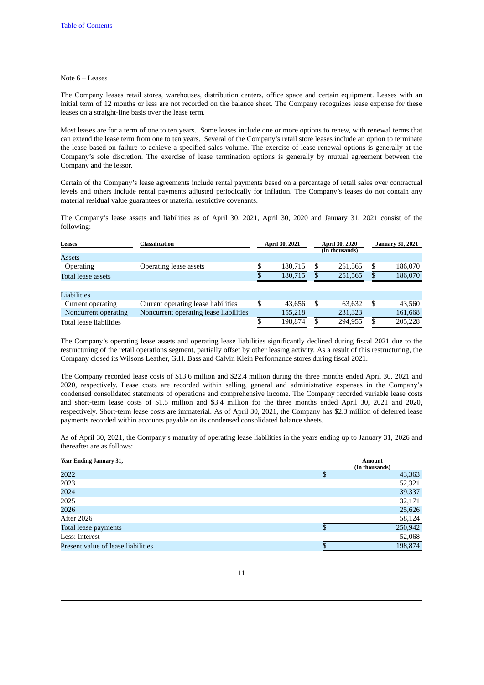## Note 6 – Leases

The Company leases retail stores, warehouses, distribution centers, office space and certain equipment. Leases with an initial term of 12 months or less are not recorded on the balance sheet. The Company recognizes lease expense for these leases on a straight-line basis over the lease term.

Most leases are for a term of one to ten years. Some leases include one or more options to renew, with renewal terms that can extend the lease term from one to ten years. Several of the Company's retail store leases include an option to terminate the lease based on failure to achieve a specified sales volume. The exercise of lease renewal options is generally at the Company's sole discretion. The exercise of lease termination options is generally by mutual agreement between the Company and the lessor.

Certain of the Company's lease agreements include rental payments based on a percentage of retail sales over contractual levels and others include rental payments adjusted periodically for inflation. The Company's leases do not contain any material residual value guarantees or material restrictive covenants.

The Company's lease assets and liabilities as of April 30, 2021, April 30, 2020 and January 31, 2021 consist of the following:

| Leases                  | Classification                         | <b>April 30, 2021</b> |         |     | April 30, 2020 | <b>January 31, 2021</b> |         |  |
|-------------------------|----------------------------------------|-----------------------|---------|-----|----------------|-------------------------|---------|--|
|                         |                                        |                       |         |     | (In thousands) |                         |         |  |
| <b>Assets</b>           |                                        |                       |         |     |                |                         |         |  |
| <b>Operating</b>        | Operating lease assets                 | \$                    | 180,715 | S   | 251,565        | \$                      | 186,070 |  |
| Total lease assets      |                                        |                       | 180.715 | \$. | 251,565        | \$.                     | 186,070 |  |
|                         |                                        |                       |         |     |                |                         |         |  |
| Liabilities             |                                        |                       |         |     |                |                         |         |  |
| Current operating       | Current operating lease liabilities    |                       | 43.656  | S   | 63,632         | S                       | 43,560  |  |
| Noncurrent operating    | Noncurrent operating lease liabilities |                       | 155,218 |     | 231,323        |                         | 161,668 |  |
| Total lease liabilities |                                        |                       | 198.874 |     | 294.955        | S                       | 205.228 |  |

The Company's operating lease assets and operating lease liabilities significantly declined during fiscal 2021 due to the restructuring of the retail operations segment, partially offset by other leasing activity. As a result of this restructuring, the Company closed its Wilsons Leather, G.H. Bass and Calvin Klein Performance stores during fiscal 2021.

The Company recorded lease costs of \$13.6 million and \$22.4 million during the three months ended April 30, 2021 and 2020, respectively. Lease costs are recorded within selling, general and administrative expenses in the Company's condensed consolidated statements of operations and comprehensive income. The Company recorded variable lease costs and short-term lease costs of \$1.5 million and \$3.4 million for the three months ended April 30, 2021 and 2020, respectively. Short-term lease costs are immaterial. As of April 30, 2021, the Company has \$2.3 million of deferred lease payments recorded within accounts payable on its condensed consolidated balance sheets.

As of April 30, 2021, the Company's maturity of operating lease liabilities in the years ending up to January 31, 2026 and thereafter are as follows:

| <b>Year Ending January 31,</b>     | <b>Amount</b> |                |  |  |  |  |
|------------------------------------|---------------|----------------|--|--|--|--|
|                                    |               | (In thousands) |  |  |  |  |
| 2022                               | \$            | 43,363         |  |  |  |  |
| 2023                               |               | 52,321         |  |  |  |  |
| 2024                               |               | 39,337         |  |  |  |  |
| 2025                               |               | 32,171         |  |  |  |  |
| 2026                               |               | 25,626         |  |  |  |  |
| <b>After 2026</b>                  |               | 58,124         |  |  |  |  |
| Total lease payments               | S             | 250,942        |  |  |  |  |
| Less: Interest                     |               | 52,068         |  |  |  |  |
| Present value of lease liabilities |               | 198,874        |  |  |  |  |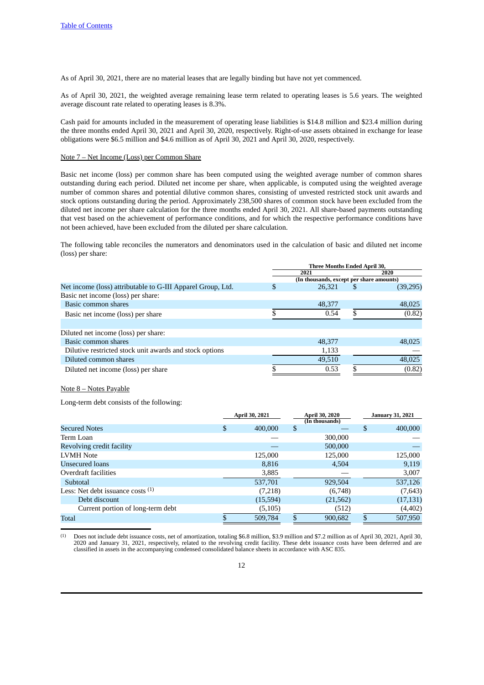As of April 30, 2021, there are no material leases that are legally binding but have not yet commenced.

As of April 30, 2021, the weighted average remaining lease term related to operating leases is 5.6 years. The weighted average discount rate related to operating leases is 8.3%.

Cash paid for amounts included in the measurement of operating lease liabilities is \$14.8 million and \$23.4 million during the three months ended April 30, 2021 and April 30, 2020, respectively. Right-of-use assets obtained in exchange for lease obligations were \$6.5 million and \$4.6 million as of April 30, 2021 and April 30, 2020, respectively.

#### Note 7 – Net Income (Loss) per Common Share

Basic net income (loss) per common share has been computed using the weighted average number of common shares outstanding during each period. Diluted net income per share, when applicable, is computed using the weighted average number of common shares and potential dilutive common shares, consisting of unvested restricted stock unit awards and stock options outstanding during the period. Approximately 238,500 shares of common stock have been excluded from the diluted net income per share calculation for the three months ended April 30, 2021. All share-based payments outstanding that vest based on the achievement of performance conditions, and for which the respective performance conditions have not been achieved, have been excluded from the diluted per share calculation.

The following table reconciles the numerators and denominators used in the calculation of basic and diluted net income (loss) per share:

|                                                             |    | <b>Three Months Ended April 30.</b>      |      |          |  |  |  |  |  |
|-------------------------------------------------------------|----|------------------------------------------|------|----------|--|--|--|--|--|
|                                                             |    | 2021                                     | 2020 |          |  |  |  |  |  |
|                                                             |    | (In thousands, except per share amounts) |      |          |  |  |  |  |  |
| Net income (loss) attributable to G-III Apparel Group, Ltd. | \$ | 26,321                                   | -S   | (39,295) |  |  |  |  |  |
| Basic net income (loss) per share:                          |    |                                          |      |          |  |  |  |  |  |
| Basic common shares                                         |    | 48,377                                   |      | 48,025   |  |  |  |  |  |
| Basic net income (loss) per share                           |    | 0.54                                     | ß.   | (0.82)   |  |  |  |  |  |
|                                                             |    |                                          |      |          |  |  |  |  |  |
| Diluted net income (loss) per share:                        |    |                                          |      |          |  |  |  |  |  |
| Basic common shares                                         |    | 48,377                                   |      | 48,025   |  |  |  |  |  |
| Dilutive restricted stock unit awards and stock options     |    | 1,133                                    |      |          |  |  |  |  |  |
| Diluted common shares                                       |    | 49,510                                   |      | 48,025   |  |  |  |  |  |
| Diluted net income (loss) per share                         |    | 0.53                                     | ß.   | (0.82)   |  |  |  |  |  |
|                                                             |    |                                          |      |          |  |  |  |  |  |

### Note 8 – Notes Payable

Long-term debt consists of the following:

|                                     | April 30, 2021 |    | <b>April 30, 2020</b> | <b>January 31, 2021</b> |
|-------------------------------------|----------------|----|-----------------------|-------------------------|
|                                     |                |    | (In thousands)        |                         |
| <b>Secured Notes</b>                | \$<br>400,000  | \$ |                       | \$<br>400,000           |
| Term Loan                           |                |    | 300,000               |                         |
| Revolving credit facility           |                |    | 500,000               |                         |
| <b>LVMH</b> Note                    | 125,000        |    | 125,000               | 125,000                 |
| Unsecured loans                     | 8,816          |    | 4,504                 | 9,119                   |
| Overdraft facilities                | 3,885          |    |                       | 3,007                   |
| Subtotal                            | 537,701        |    | 929,504               | 537,126                 |
| Less: Net debt issuance costs $(1)$ | (7,218)        |    | (6,748)               | (7,643)                 |
| Debt discount                       | (15,594)       |    | (21, 562)             | (17, 131)               |
| Current portion of long-term debt   | (5, 105)       |    | (512)                 | (4, 402)                |
| Total                               | \$<br>509.784  | \$ | 900.682               | \$<br>507.950           |

(1) Does not include debt issuance costs, net of amortization, totaling \$6.8 million, \$3.9 million and \$7.2 million as of April 30, 2021, April 30, 2020 and January 31, 2021, respectively, related to the revolving credit facility. These debt issuance costs have been deferred and are classified in assets in the accompanying condensed consolidated balance sheets in accordance with ASC 835.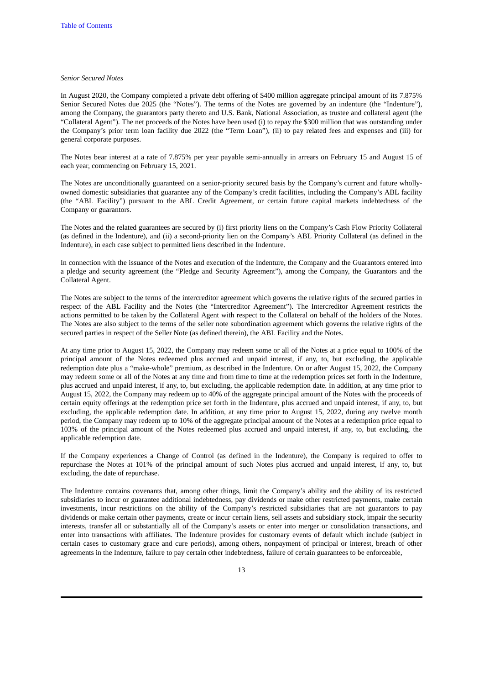## *Senior Secured Notes*

In August 2020, the Company completed a private debt offering of \$400 million aggregate principal amount of its 7.875% Senior Secured Notes due 2025 (the "Notes"). The terms of the Notes are governed by an indenture (the "Indenture"), among the Company, the guarantors party thereto and U.S. Bank, National Association, as trustee and collateral agent (the "Collateral Agent"). The net proceeds of the Notes have been used (i) to repay the \$300 million that was outstanding under the Company's prior term loan facility due 2022 (the "Term Loan"), (ii) to pay related fees and expenses and (iii) for general corporate purposes.

The Notes bear interest at a rate of 7.875% per year payable semi-annually in arrears on February 15 and August 15 of each year, commencing on February 15, 2021.

The Notes are unconditionally guaranteed on a senior-priority secured basis by the Company's current and future whollyowned domestic subsidiaries that guarantee any of the Company's credit facilities, including the Company's ABL facility (the "ABL Facility") pursuant to the ABL Credit Agreement, or certain future capital markets indebtedness of the Company or guarantors.

The Notes and the related guarantees are secured by (i) first priority liens on the Company's Cash Flow Priority Collateral (as defined in the Indenture), and (ii) a second-priority lien on the Company's ABL Priority Collateral (as defined in the Indenture), in each case subject to permitted liens described in the Indenture.

In connection with the issuance of the Notes and execution of the Indenture, the Company and the Guarantors entered into a pledge and security agreement (the "Pledge and Security Agreement"), among the Company, the Guarantors and the Collateral Agent.

The Notes are subject to the terms of the intercreditor agreement which governs the relative rights of the secured parties in respect of the ABL Facility and the Notes (the "Intercreditor Agreement"). The Intercreditor Agreement restricts the actions permitted to be taken by the Collateral Agent with respect to the Collateral on behalf of the holders of the Notes. The Notes are also subject to the terms of the seller note subordination agreement which governs the relative rights of the secured parties in respect of the Seller Note (as defined therein), the ABL Facility and the Notes.

At any time prior to August 15, 2022, the Company may redeem some or all of the Notes at a price equal to 100% of the principal amount of the Notes redeemed plus accrued and unpaid interest, if any, to, but excluding, the applicable redemption date plus a "make-whole" premium, as described in the Indenture. On or after August 15, 2022, the Company may redeem some or all of the Notes at any time and from time to time at the redemption prices set forth in the Indenture, plus accrued and unpaid interest, if any, to, but excluding, the applicable redemption date. In addition, at any time prior to August 15, 2022, the Company may redeem up to 40% of the aggregate principal amount of the Notes with the proceeds of certain equity offerings at the redemption price set forth in the Indenture, plus accrued and unpaid interest, if any, to, but excluding, the applicable redemption date. In addition, at any time prior to August 15, 2022, during any twelve month period, the Company may redeem up to 10% of the aggregate principal amount of the Notes at a redemption price equal to 103% of the principal amount of the Notes redeemed plus accrued and unpaid interest, if any, to, but excluding, the applicable redemption date.

If the Company experiences a Change of Control (as defined in the Indenture), the Company is required to offer to repurchase the Notes at 101% of the principal amount of such Notes plus accrued and unpaid interest, if any, to, but excluding, the date of repurchase.

The Indenture contains covenants that, among other things, limit the Company's ability and the ability of its restricted subsidiaries to incur or guarantee additional indebtedness, pay dividends or make other restricted payments, make certain investments, incur restrictions on the ability of the Company's restricted subsidiaries that are not guarantors to pay dividends or make certain other payments, create or incur certain liens, sell assets and subsidiary stock, impair the security interests, transfer all or substantially all of the Company's assets or enter into merger or consolidation transactions, and enter into transactions with affiliates. The Indenture provides for customary events of default which include (subject in certain cases to customary grace and cure periods), among others, nonpayment of principal or interest, breach of other agreements in the Indenture, failure to pay certain other indebtedness, failure of certain guarantees to be enforceable,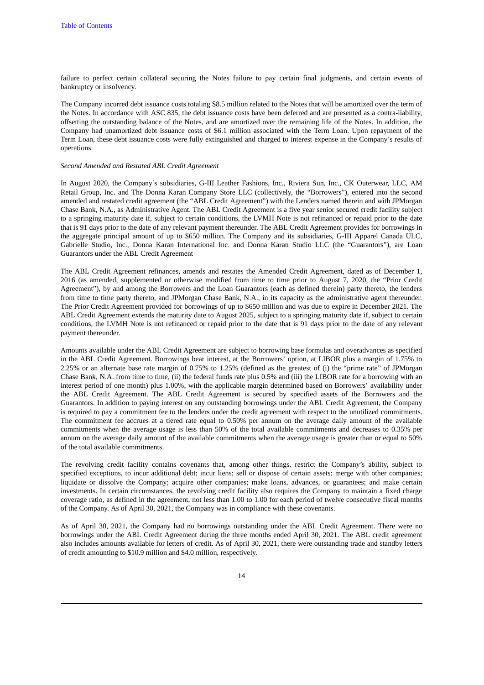failure to perfect certain collateral securing the Notes failure to pay certain final judgments, and certain events of bankruptcy or insolvency.

The Company incurred debt issuance costs totaling \$8.5 million related to the Notes that will be amortized over the term of the Notes. In accordance with ASC 835, the debt issuance costs have been deferred and are presented as a contra-liability, offsetting the outstanding balance of the Notes, and are amortized over the remaining life of the Notes. In addition, the Company had unamortized debt issuance costs of \$6.1 million associated with the Term Loan. Upon repayment of the Term Loan, these debt issuance costs were fully extinguished and charged to interest expense in the Company's results of operations.

#### *Second Amended and Restated ABL Credit Agreement*

In August 2020, the Company's subsidiaries, G-III Leather Fashions, Inc., Riviera Sun, Inc., CK Outerwear, LLC, AM Retail Group, Inc. and The Donna Karan Company Store LLC (collectively, the "Borrowers"), entered into the second amended and restated credit agreement (the "ABL Credit Agreement") with the Lenders named therein and with JPMorgan Chase Bank, N.A., as Administrative Agent. The ABL Credit Agreement is a five year senior secured credit facility subject to a springing maturity date if, subject to certain conditions, the LVMH Note is not refinanced or repaid prior to the date that is 91 days prior to the date of any relevant payment thereunder. The ABL Credit Agreement provides for borrowings in the aggregate principal amount of up to \$650 million. The Company and its subsidiaries, G-III Apparel Canada ULC, Gabrielle Studio, Inc., Donna Karan International Inc. and Donna Karan Studio LLC (the "Guarantors"), are Loan Guarantors under the ABL Credit Agreement

The ABL Credit Agreement refinances, amends and restates the Amended Credit Agreement, dated as of December 1, 2016 (as amended, supplemented or otherwise modified from time to time prior to August 7, 2020, the "Prior Credit Agreement"), by and among the Borrowers and the Loan Guarantors (each as defined therein) party thereto, the lenders from time to time party thereto, and JPMorgan Chase Bank, N.A., in its capacity as the administrative agent thereunder. The Prior Credit Agreement provided for borrowings of up to \$650 million and was due to expire in December 2021. The ABL Credit Agreement extends the maturity date to August 2025, subject to a springing maturity date if, subject to certain conditions, the LVMH Note is not refinanced or repaid prior to the date that is 91 days prior to the date of any relevant payment thereunder.

Amounts available under the ABL Credit Agreement are subject to borrowing base formulas and overadvances as specified in the ABL Credit Agreement. Borrowings bear interest, at the Borrowers' option, at LIBOR plus a margin of 1.75% to 2.25% or an alternate base rate margin of 0.75% to 1.25% (defined as the greatest of (i) the "prime rate" of JPMorgan Chase Bank, N.A. from time to time, (ii) the federal funds rate plus 0.5% and (iii) the LIBOR rate for a borrowing with an interest period of one month) plus 1.00%, with the applicable margin determined based on Borrowers' availability under the ABL Credit Agreement. The ABL Credit Agreement is secured by specified assets of the Borrowers and the Guarantors. In addition to paying interest on any outstanding borrowings under the ABL Credit Agreement, the Company is required to pay a commitment fee to the lenders under the credit agreement with respect to the unutilized commitments. The commitment fee accrues at a tiered rate equal to 0.50% per annum on the average daily amount of the available commitments when the average usage is less than 50% of the total available commitments and decreases to 0.35% per annum on the average daily amount of the available commitments when the average usage is greater than or equal to 50% of the total available commitments.

The revolving credit facility contains covenants that, among other things, restrict the Company's ability, subject to specified exceptions, to incur additional debt; incur liens; sell or dispose of certain assets; merge with other companies; liquidate or dissolve the Company; acquire other companies; make loans, advances, or guarantees; and make certain investments. In certain circumstances, the revolving credit facility also requires the Company to maintain a fixed charge coverage ratio, as defined in the agreement, not less than 1.00 to 1.00 for each period of twelve consecutive fiscal months of the Company. As of April 30, 2021, the Company was in compliance with these covenants.

As of April 30, 2021, the Company had no borrowings outstanding under the ABL Credit Agreement. There were no borrowings under the ABL Credit Agreement during the three months ended April 30, 2021. The ABL credit agreement also includes amounts available for letters of credit. As of April 30, 2021, there were outstanding trade and standby letters of credit amounting to \$10.9 million and \$4.0 million, respectively.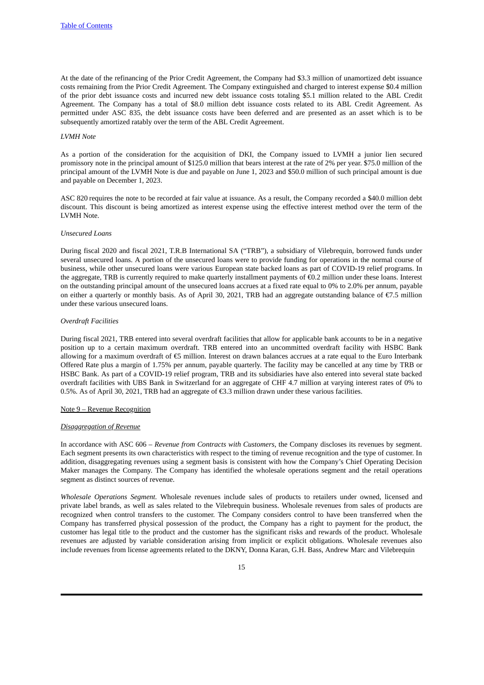At the date of the refinancing of the Prior Credit Agreement, the Company had \$3.3 million of unamortized debt issuance costs remaining from the Prior Credit Agreement. The Company extinguished and charged to interest expense \$0.4 million of the prior debt issuance costs and incurred new debt issuance costs totaling \$5.1 million related to the ABL Credit Agreement. The Company has a total of \$8.0 million debt issuance costs related to its ABL Credit Agreement. As permitted under ASC 835, the debt issuance costs have been deferred and are presented as an asset which is to be subsequently amortized ratably over the term of the ABL Credit Agreement.

## *LVMH Note*

As a portion of the consideration for the acquisition of DKI, the Company issued to LVMH a junior lien secured promissory note in the principal amount of \$125.0 million that bears interest at the rate of 2% per year. \$75.0 million of the principal amount of the LVMH Note is due and payable on June 1, 2023 and \$50.0 million of such principal amount is due and payable on December 1, 2023.

ASC 820 requires the note to be recorded at fair value at issuance. As a result, the Company recorded a \$40.0 million debt discount. This discount is being amortized as interest expense using the effective interest method over the term of the LVMH Note.

#### *Unsecured Loans*

During fiscal 2020 and fiscal 2021, T.R.B International SA ("TRB"), a subsidiary of Vilebrequin, borrowed funds under several unsecured loans. A portion of the unsecured loans were to provide funding for operations in the normal course of business, while other unsecured loans were various European state backed loans as part of COVID-19 relief programs. In the aggregate, TRB is currently required to make quarterly installment payments of €0.2 million under these loans. Interest on the outstanding principal amount of the unsecured loans accrues at a fixed rate equal to 0% to 2.0% per annum, payable on either a quarterly or monthly basis. As of April 30, 2021, TRB had an aggregate outstanding balance of  $\epsilon$ 7.5 million under these various unsecured loans.

#### *Overdraft Facilities*

During fiscal 2021, TRB entered into several overdraft facilities that allow for applicable bank accounts to be in a negative position up to a certain maximum overdraft. TRB entered into an uncommitted overdraft facility with HSBC Bank allowing for a maximum overdraft of €5 million. Interest on drawn balances accrues at a rate equal to the Euro Interbank Offered Rate plus a margin of 1.75% per annum, payable quarterly. The facility may be cancelled at any time by TRB or HSBC Bank. As part of a COVID-19 relief program, TRB and its subsidiaries have also entered into several state backed overdraft facilities with UBS Bank in Switzerland for an aggregate of CHF 4.7 million at varying interest rates of 0% to 0.5%. As of April 30, 2021, TRB had an aggregate of €3.3 million drawn under these various facilities.

#### Note 9 – Revenue Recognition

#### *Disaggregation of Revenue*

In accordance with ASC 606 – *Revenue from Contracts with Customers*, the Company discloses its revenues by segment. Each segment presents its own characteristics with respect to the timing of revenue recognition and the type of customer. In addition, disaggregating revenues using a segment basis is consistent with how the Company's Chief Operating Decision Maker manages the Company. The Company has identified the wholesale operations segment and the retail operations segment as distinct sources of revenue.

*Wholesale Operations Segment.* Wholesale revenues include sales of products to retailers under owned, licensed and private label brands, as well as sales related to the Vilebrequin business. Wholesale revenues from sales of products are recognized when control transfers to the customer. The Company considers control to have been transferred when the Company has transferred physical possession of the product, the Company has a right to payment for the product, the customer has legal title to the product and the customer has the significant risks and rewards of the product. Wholesale revenues are adjusted by variable consideration arising from implicit or explicit obligations. Wholesale revenues also include revenues from license agreements related to the DKNY, Donna Karan, G.H. Bass, Andrew Marc and Vilebrequin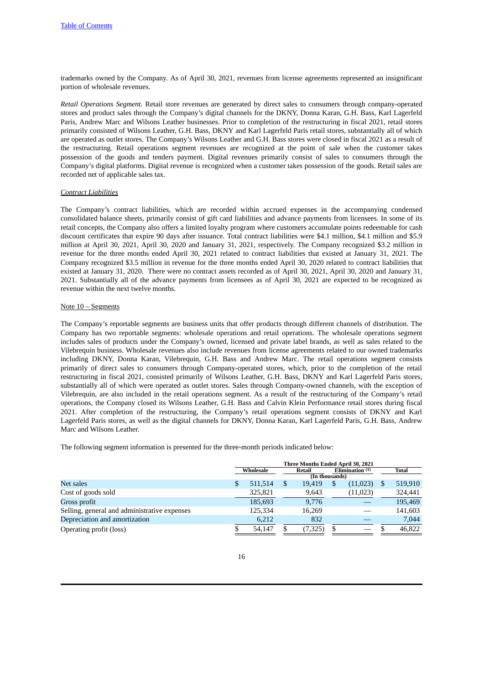trademarks owned by the Company. As of April 30, 2021, revenues from license agreements represented an insignificant portion of wholesale revenues.

*Retail Operations Segment.* Retail store revenues are generated by direct sales to consumers through company-operated stores and product sales through the Company's digital channels for the DKNY, Donna Karan, G.H. Bass, Karl Lagerfeld Paris, Andrew Marc and Wilsons Leather businesses. Prior to completion of the restructuring in fiscal 2021, retail stores primarily consisted of Wilsons Leather, G.H. Bass, DKNY and Karl Lagerfeld Paris retail stores, substantially all of which are operated as outlet stores. The Company's Wilsons Leather and G.H. Bass stores were closed in fiscal 2021 as a result of the restructuring. Retail operations segment revenues are recognized at the point of sale when the customer takes possession of the goods and tenders payment. Digital revenues primarily consist of sales to consumers through the Company's digital platforms. Digital revenue is recognized when a customer takes possession of the goods. Retail sales are recorded net of applicable sales tax.

## *Contract Liabilities*

The Company's contract liabilities, which are recorded within accrued expenses in the accompanying condensed consolidated balance sheets, primarily consist of gift card liabilities and advance payments from licensees. In some of its retail concepts, the Company also offers a limited loyalty program where customers accumulate points redeemable for cash discount certificates that expire 90 days after issuance. Total contract liabilities were \$4.1 million, \$4.1 million and \$5.9 million at April 30, 2021, April 30, 2020 and January 31, 2021, respectively. The Company recognized \$3.2 million in revenue for the three months ended April 30, 2021 related to contract liabilities that existed at January 31, 2021. The Company recognized \$3.5 million in revenue for the three months ended April 30, 2020 related to contract liabilities that existed at January 31, 2020. There were no contract assets recorded as of April 30, 2021, April 30, 2020 and January 31, 2021. Substantially all of the advance payments from licensees as of April 30, 2021 are expected to be recognized as revenue within the next twelve months.

## Note 10 – Segments

The Company's reportable segments are business units that offer products through different channels of distribution. The Company has two reportable segments: wholesale operations and retail operations. The wholesale operations segment includes sales of products under the Company's owned, licensed and private label brands, as well as sales related to the Vilebrequin business. Wholesale revenues also include revenues from license agreements related to our owned trademarks including DKNY, Donna Karan, Vilebrequin, G.H. Bass and Andrew Marc. The retail operations segment consists primarily of direct sales to consumers through Company-operated stores, which, prior to the completion of the retail restructuring in fiscal 2021, consisted primarily of Wilsons Leather, G.H. Bass, DKNY and Karl Lagerfeld Paris stores, substantially all of which were operated as outlet stores. Sales through Company-owned channels, with the exception of Vilebrequin, are also included in the retail operations segment. As a result of the restructuring of the Company's retail operations, the Company closed its Wilsons Leather, G.H. Bass and Calvin Klein Performance retail stores during fiscal 2021. After completion of the restructuring, the Company's retail operations segment consists of DKNY and Karl Lagerfeld Paris stores, as well as the digital channels for DKNY, Donna Karan, Karl Lagerfeld Paris, G.H. Bass, Andrew Marc and Wilsons Leather.

The following segment information is presented for the three-month periods indicated below:

|                                              | Three Months Ended April 30, 2021 |         |  |                |  |                   |  |              |
|----------------------------------------------|-----------------------------------|---------|--|----------------|--|-------------------|--|--------------|
|                                              | Wholesale                         |         |  | Retail         |  | Elimination $(1)$ |  | <b>Total</b> |
|                                              |                                   |         |  | (In thousands) |  |                   |  |              |
| Net sales                                    | \$                                | 511,514 |  | 19,419         |  | (11,023)          |  | 519,910      |
| Cost of goods sold                           |                                   | 325,821 |  | 9,643          |  | (11, 023)         |  | 324,441      |
| Gross profit                                 |                                   | 185,693 |  | 9.776          |  |                   |  | 195,469      |
| Selling, general and administrative expenses |                                   | 125,334 |  | 16.269         |  |                   |  | 141,603      |
| Depreciation and amortization                |                                   | 6.212   |  | 832            |  |                   |  | 7,044        |
| Operating profit (loss)                      |                                   | 54.147  |  | (7, 325)       |  |                   |  | 46,822       |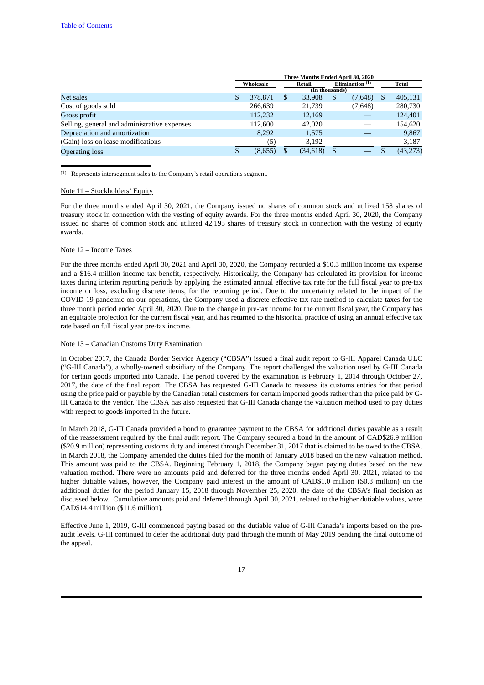|                                              | Three Months Ended April 30, 2020 |         |    |           |                      |                   |    |              |  |
|----------------------------------------------|-----------------------------------|---------|----|-----------|----------------------|-------------------|----|--------------|--|
|                                              | Wholesale                         |         |    | Retail    |                      | Elimination $(1)$ |    | <b>Total</b> |  |
|                                              |                                   |         |    |           | $($ In thousands $)$ |                   |    |              |  |
| Net sales                                    | \$                                | 378,871 | S  | 33,908    | S                    | (7,648)           | \$ | 405,131      |  |
| Cost of goods sold                           |                                   | 266,639 |    | 21,739    |                      | (7,648)           |    | 280,730      |  |
| Gross profit                                 |                                   | 112,232 |    | 12,169    |                      |                   |    | 124,401      |  |
| Selling, general and administrative expenses |                                   | 112,600 |    | 42,020    |                      |                   |    | 154,620      |  |
| Depreciation and amortization                |                                   | 8,292   |    | 1,575     |                      |                   |    | 9,867        |  |
| (Gain) loss on lease modifications           |                                   | (5)     |    | 3,192     |                      |                   |    | 3,187        |  |
| <b>Operating loss</b>                        |                                   | (8,655) | S. | (34, 618) | \$.                  |                   | -S | (43, 273)    |  |

(1) Represents intersegment sales to the Company's retail operations segment.

## Note 11 – Stockholders' Equity

For the three months ended April 30, 2021, the Company issued no shares of common stock and utilized 158 shares of treasury stock in connection with the vesting of equity awards. For the three months ended April 30, 2020, the Company issued no shares of common stock and utilized 42,195 shares of treasury stock in connection with the vesting of equity awards.

#### Note 12 – Income Taxes

For the three months ended April 30, 2021 and April 30, 2020, the Company recorded a \$10.3 million income tax expense and a \$16.4 million income tax benefit, respectively. Historically, the Company has calculated its provision for income taxes during interim reporting periods by applying the estimated annual effective tax rate for the full fiscal year to pre-tax income or loss, excluding discrete items, for the reporting period. Due to the uncertainty related to the impact of the COVID-19 pandemic on our operations, the Company used a discrete effective tax rate method to calculate taxes for the three month period ended April 30, 2020. Due to the change in pre-tax income for the current fiscal year, the Company has an equitable projection for the current fiscal year, and has returned to the historical practice of using an annual effective tax rate based on full fiscal year pre-tax income.

#### Note 13 – Canadian Customs Duty Examination

In October 2017, the Canada Border Service Agency ("CBSA") issued a final audit report to G-III Apparel Canada ULC ("G-III Canada"), a wholly-owned subsidiary of the Company. The report challenged the valuation used by G-III Canada for certain goods imported into Canada. The period covered by the examination is February 1, 2014 through October 27, 2017, the date of the final report. The CBSA has requested G-III Canada to reassess its customs entries for that period using the price paid or payable by the Canadian retail customers for certain imported goods rather than the price paid by G-III Canada to the vendor. The CBSA has also requested that G-III Canada change the valuation method used to pay duties with respect to goods imported in the future.

In March 2018, G-III Canada provided a bond to guarantee payment to the CBSA for additional duties payable as a result of the reassessment required by the final audit report. The Company secured a bond in the amount of CAD\$26.9 million (\$20.9 million) representing customs duty and interest through December 31, 2017 that is claimed to be owed to the CBSA. In March 2018, the Company amended the duties filed for the month of January 2018 based on the new valuation method. This amount was paid to the CBSA. Beginning February 1, 2018, the Company began paying duties based on the new valuation method. There were no amounts paid and deferred for the three months ended April 30, 2021, related to the higher dutiable values, however, the Company paid interest in the amount of CAD\$1.0 million (\$0.8 million) on the additional duties for the period January 15, 2018 through November 25, 2020, the date of the CBSA's final decision as discussed below. Cumulative amounts paid and deferred through April 30, 2021, related to the higher dutiable values, were CAD\$14.4 million (\$11.6 million).

Effective June 1, 2019, G-III commenced paying based on the dutiable value of G-III Canada's imports based on the preaudit levels. G-III continued to defer the additional duty paid through the month of May 2019 pending the final outcome of the appeal.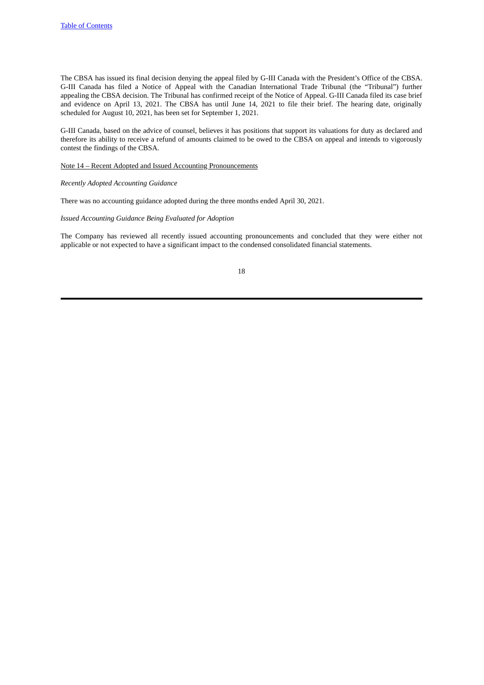The CBSA has issued its final decision denying the appeal filed by G-III Canada with the President's Office of the CBSA. G-III Canada has filed a Notice of Appeal with the Canadian International Trade Tribunal (the "Tribunal") further appealing the CBSA decision. The Tribunal has confirmed receipt of the Notice of Appeal. G-III Canada filed its case brief and evidence on April 13, 2021. The CBSA has until June 14, 2021 to file their brief. The hearing date, originally scheduled for August 10, 2021, has been set for September 1, 2021.

G-III Canada, based on the advice of counsel, believes it has positions that support its valuations for duty as declared and therefore its ability to receive a refund of amounts claimed to be owed to the CBSA on appeal and intends to vigorously contest the findings of the CBSA.

Note 14 – Recent Adopted and Issued Accounting Pronouncements

*Recently Adopted Accounting Guidance*

There was no accounting guidance adopted during the three months ended April 30, 2021.

*Issued Accounting Guidance Being Evaluated for Adoption*

The Company has reviewed all recently issued accounting pronouncements and concluded that they were either not applicable or not expected to have a significant impact to the condensed consolidated financial statements.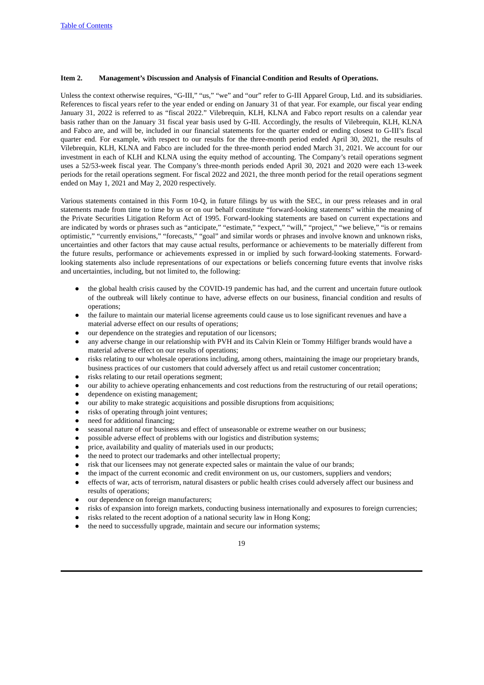## <span id="page-18-0"></span>**Item 2. Management's Discussion and Analysis of Financial Condition and Results of Operations.**

Unless the context otherwise requires, "G-III," "us," "we" and "our" refer to G-III Apparel Group, Ltd. and its subsidiaries. References to fiscal years refer to the year ended or ending on January 31 of that year. For example, our fiscal year ending January 31, 2022 is referred to as "fiscal 2022." Vilebrequin, KLH, KLNA and Fabco report results on a calendar year basis rather than on the January 31 fiscal year basis used by G-III. Accordingly, the results of Vilebrequin, KLH, KLNA and Fabco are, and will be, included in our financial statements for the quarter ended or ending closest to G-III's fiscal quarter end. For example, with respect to our results for the three-month period ended April 30, 2021, the results of Vilebrequin, KLH, KLNA and Fabco are included for the three-month period ended March 31, 2021. We account for our investment in each of KLH and KLNA using the equity method of accounting. The Company's retail operations segment uses a 52/53-week fiscal year. The Company's three-month periods ended April 30, 2021 and 2020 were each 13-week periods for the retail operations segment. For fiscal 2022 and 2021, the three month period for the retail operations segment ended on May 1, 2021 and May 2, 2020 respectively.

Various statements contained in this Form 10-Q, in future filings by us with the SEC, in our press releases and in oral statements made from time to time by us or on our behalf constitute "forward-looking statements" within the meaning of the Private Securities Litigation Reform Act of 1995. Forward-looking statements are based on current expectations and are indicated by words or phrases such as "anticipate," "estimate," "expect," "will," "project," "we believe," "is or remains optimistic," "currently envisions," "forecasts," "goal" and similar words or phrases and involve known and unknown risks, uncertainties and other factors that may cause actual results, performance or achievements to be materially different from the future results, performance or achievements expressed in or implied by such forward-looking statements. Forwardlooking statements also include representations of our expectations or beliefs concerning future events that involve risks and uncertainties, including, but not limited to, the following:

- the global health crisis caused by the COVID-19 pandemic has had, and the current and uncertain future outlook of the outbreak will likely continue to have, adverse effects on our business, financial condition and results of operations;
- the failure to maintain our material license agreements could cause us to lose significant revenues and have a material adverse effect on our results of operations;
- our dependence on the strategies and reputation of our licensors;
- any adverse change in our relationship with PVH and its Calvin Klein or Tommy Hilfiger brands would have a material adverse effect on our results of operations;
- risks relating to our wholesale operations including, among others, maintaining the image our proprietary brands, business practices of our customers that could adversely affect us and retail customer concentration;
- risks relating to our retail operations segment;
- our ability to achieve operating enhancements and cost reductions from the restructuring of our retail operations;
- dependence on existing management;
- our ability to make strategic acquisitions and possible disruptions from acquisitions;
- risks of operating through joint ventures;
- need for additional financing;
- seasonal nature of our business and effect of unseasonable or extreme weather on our business;
- possible adverse effect of problems with our logistics and distribution systems;
- price, availability and quality of materials used in our products;
- the need to protect our trademarks and other intellectual property;
- risk that our licensees may not generate expected sales or maintain the value of our brands;
- the impact of the current economic and credit environment on us, our customers, suppliers and vendors;
- effects of war, acts of terrorism, natural disasters or public health crises could adversely affect our business and results of operations;
- our dependence on foreign manufacturers;
- risks of expansion into foreign markets, conducting business internationally and exposures to foreign currencies;
- risks related to the recent adoption of a national security law in Hong Kong;
- the need to successfully upgrade, maintain and secure our information systems;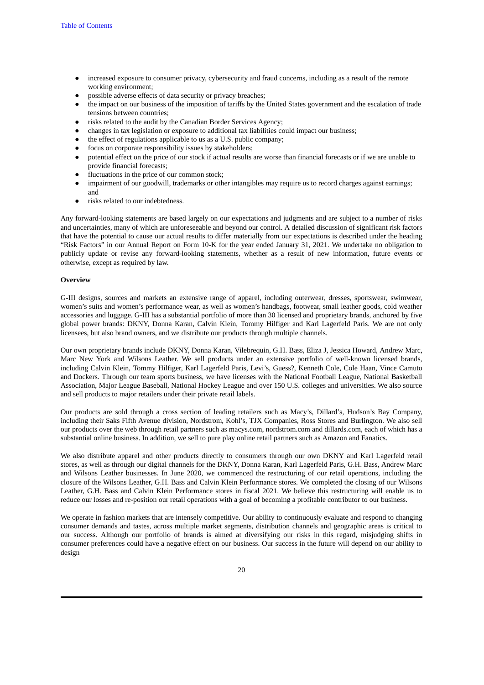- increased exposure to consumer privacy, cybersecurity and fraud concerns, including as a result of the remote working environment;
- possible adverse effects of data security or privacy breaches;
- the impact on our business of the imposition of tariffs by the United States government and the escalation of trade tensions between countries;
- risks related to the audit by the Canadian Border Services Agency;
- changes in tax legislation or exposure to additional tax liabilities could impact our business;
- the effect of regulations applicable to us as a U.S. public company;
- focus on corporate responsibility issues by stakeholders;
- potential effect on the price of our stock if actual results are worse than financial forecasts or if we are unable to provide financial forecasts;
- fluctuations in the price of our common stock;
- impairment of our goodwill, trademarks or other intangibles may require us to record charges against earnings; and
- risks related to our indebtedness.

Any forward-looking statements are based largely on our expectations and judgments and are subject to a number of risks and uncertainties, many of which are unforeseeable and beyond our control. A detailed discussion of significant risk factors that have the potential to cause our actual results to differ materially from our expectations is described under the heading "Risk Factors" in our Annual Report on Form 10-K for the year ended January 31, 2021. We undertake no obligation to publicly update or revise any forward-looking statements, whether as a result of new information, future events or otherwise, except as required by law.

## **Overview**

G-III designs, sources and markets an extensive range of apparel, including outerwear, dresses, sportswear, swimwear, women's suits and women's performance wear, as well as women's handbags, footwear, small leather goods, cold weather accessories and luggage. G-III has a substantial portfolio of more than 30 licensed and proprietary brands, anchored by five global power brands: DKNY, Donna Karan, Calvin Klein, Tommy Hilfiger and Karl Lagerfeld Paris. We are not only licensees, but also brand owners, and we distribute our products through multiple channels.

Our own proprietary brands include DKNY, Donna Karan, Vilebrequin, G.H. Bass, Eliza J, Jessica Howard, Andrew Marc, Marc New York and Wilsons Leather. We sell products under an extensive portfolio of well-known licensed brands, including Calvin Klein, Tommy Hilfiger, Karl Lagerfeld Paris, Levi's, Guess?, Kenneth Cole, Cole Haan, Vince Camuto and Dockers. Through our team sports business, we have licenses with the National Football League, National Basketball Association, Major League Baseball, National Hockey League and over 150 U.S. colleges and universities. We also source and sell products to major retailers under their private retail labels.

Our products are sold through a cross section of leading retailers such as Macy's, Dillard's, Hudson's Bay Company, including their Saks Fifth Avenue division, Nordstrom, Kohl's, TJX Companies, Ross Stores and Burlington. We also sell our products over the web through retail partners such as macys.com, nordstrom.com and dillards.com, each of which has a substantial online business. In addition, we sell to pure play online retail partners such as Amazon and Fanatics.

We also distribute apparel and other products directly to consumers through our own DKNY and Karl Lagerfeld retail stores, as well as through our digital channels for the DKNY, Donna Karan, Karl Lagerfeld Paris, G.H. Bass, Andrew Marc and Wilsons Leather businesses. In June 2020, we commenced the restructuring of our retail operations, including the closure of the Wilsons Leather, G.H. Bass and Calvin Klein Performance stores. We completed the closing of our Wilsons Leather, G.H. Bass and Calvin Klein Performance stores in fiscal 2021. We believe this restructuring will enable us to reduce our losses and re-position our retail operations with a goal of becoming a profitable contributor to our business.

We operate in fashion markets that are intensely competitive. Our ability to continuously evaluate and respond to changing consumer demands and tastes, across multiple market segments, distribution channels and geographic areas is critical to our success. Although our portfolio of brands is aimed at diversifying our risks in this regard, misjudging shifts in consumer preferences could have a negative effect on our business. Our success in the future will depend on our ability to design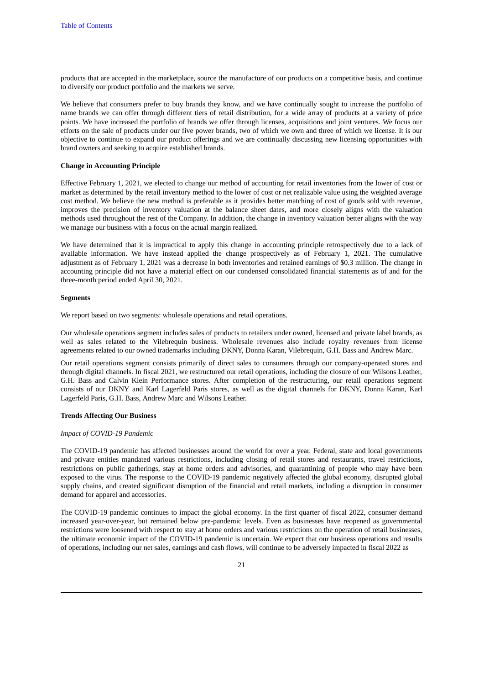products that are accepted in the marketplace, source the manufacture of our products on a competitive basis, and continue to diversify our product portfolio and the markets we serve.

We believe that consumers prefer to buy brands they know, and we have continually sought to increase the portfolio of name brands we can offer through different tiers of retail distribution, for a wide array of products at a variety of price points. We have increased the portfolio of brands we offer through licenses, acquisitions and joint ventures. We focus our efforts on the sale of products under our five power brands, two of which we own and three of which we license. It is our objective to continue to expand our product offerings and we are continually discussing new licensing opportunities with brand owners and seeking to acquire established brands.

#### **Change in Accounting Principle**

Effective February 1, 2021, we elected to change our method of accounting for retail inventories from the lower of cost or market as determined by the retail inventory method to the lower of cost or net realizable value using the weighted average cost method. We believe the new method is preferable as it provides better matching of cost of goods sold with revenue, improves the precision of inventory valuation at the balance sheet dates, and more closely aligns with the valuation methods used throughout the rest of the Company. In addition, the change in inventory valuation better aligns with the way we manage our business with a focus on the actual margin realized.

We have determined that it is impractical to apply this change in accounting principle retrospectively due to a lack of available information. We have instead applied the change prospectively as of February 1, 2021. The cumulative adjustment as of February 1, 2021 was a decrease in both inventories and retained earnings of \$0.3 million. The change in accounting principle did not have a material effect on our condensed consolidated financial statements as of and for the three-month period ended April 30, 2021.

#### **Segments**

We report based on two segments: wholesale operations and retail operations.

Our wholesale operations segment includes sales of products to retailers under owned, licensed and private label brands, as well as sales related to the Vilebrequin business. Wholesale revenues also include royalty revenues from license agreements related to our owned trademarks including DKNY, Donna Karan, Vilebrequin, G.H. Bass and Andrew Marc.

Our retail operations segment consists primarily of direct sales to consumers through our company-operated stores and through digital channels. In fiscal 2021, we restructured our retail operations, including the closure of our Wilsons Leather, G.H. Bass and Calvin Klein Performance stores. After completion of the restructuring, our retail operations segment consists of our DKNY and Karl Lagerfeld Paris stores, as well as the digital channels for DKNY, Donna Karan, Karl Lagerfeld Paris, G.H. Bass, Andrew Marc and Wilsons Leather.

## **Trends Affecting Our Business**

## *Impact of COVID-19 Pandemic*

The COVID-19 pandemic has affected businesses around the world for over a year. Federal, state and local governments and private entities mandated various restrictions, including closing of retail stores and restaurants, travel restrictions, restrictions on public gatherings, stay at home orders and advisories, and quarantining of people who may have been exposed to the virus. The response to the COVID-19 pandemic negatively affected the global economy, disrupted global supply chains, and created significant disruption of the financial and retail markets, including a disruption in consumer demand for apparel and accessories.

The COVID-19 pandemic continues to impact the global economy. In the first quarter of fiscal 2022, consumer demand increased year-over-year, but remained below pre-pandemic levels. Even as businesses have reopened as governmental restrictions were loosened with respect to stay at home orders and various restrictions on the operation of retail businesses, the ultimate economic impact of the COVID-19 pandemic is uncertain. We expect that our business operations and results of operations, including our net sales, earnings and cash flows, will continue to be adversely impacted in fiscal 2022 as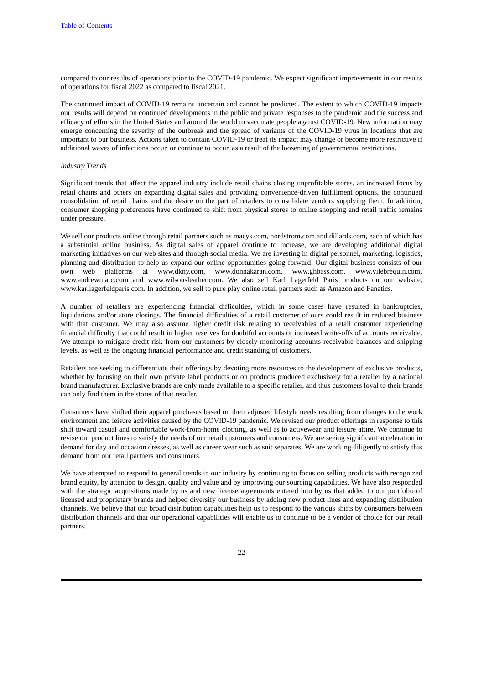compared to our results of operations prior to the COVID-19 pandemic. We expect significant improvements in our results of operations for fiscal 2022 as compared to fiscal 2021.

The continued impact of COVID-19 remains uncertain and cannot be predicted. The extent to which COVID-19 impacts our results will depend on continued developments in the public and private responses to the pandemic and the success and efficacy of efforts in the United States and around the world to vaccinate people against COVID-19. New information may emerge concerning the severity of the outbreak and the spread of variants of the COVID-19 virus in locations that are important to our business. Actions taken to contain COVID-19 or treat its impact may change or become more restrictive if additional waves of infections occur, or continue to occur, as a result of the loosening of governmental restrictions.

#### *Industry Trends*

Significant trends that affect the apparel industry include retail chains closing unprofitable stores, an increased focus by retail chains and others on expanding digital sales and providing convenience-driven fulfillment options, the continued consolidation of retail chains and the desire on the part of retailers to consolidate vendors supplying them. In addition, consumer shopping preferences have continued to shift from physical stores to online shopping and retail traffic remains under pressure.

We sell our products online through retail partners such as macys.com, nordstrom.com and dillards.com, each of which has a substantial online business. As digital sales of apparel continue to increase, we are developing additional digital marketing initiatives on our web sites and through social media. We are investing in digital personnel, marketing, logistics, planning and distribution to help us expand our online opportunities going forward. Our digital business consists of our own web platforms at www.dkny.com, www.donnakaran.com, www.ghbass.com, www.vilebrequin.com, www.andrewmarc.com and www.wilsonsleather.com. We also sell Karl Lagerfeld Paris products on our website, www.karllagerfeldparis.com. In addition, we sell to pure play online retail partners such as Amazon and Fanatics.

A number of retailers are experiencing financial difficulties, which in some cases have resulted in bankruptcies, liquidations and/or store closings. The financial difficulties of a retail customer of ours could result in reduced business with that customer. We may also assume higher credit risk relating to receivables of a retail customer experiencing financial difficulty that could result in higher reserves for doubtful accounts or increased write-offs of accounts receivable. We attempt to mitigate credit risk from our customers by closely monitoring accounts receivable balances and shipping levels, as well as the ongoing financial performance and credit standing of customers.

Retailers are seeking to differentiate their offerings by devoting more resources to the development of exclusive products, whether by focusing on their own private label products or on products produced exclusively for a retailer by a national brand manufacturer. Exclusive brands are only made available to a specific retailer, and thus customers loyal to their brands can only find them in the stores of that retailer.

Consumers have shifted their apparel purchases based on their adjusted lifestyle needs resulting from changes to the work environment and leisure activities caused by the COVID-19 pandemic. We revised our product offerings in response to this shift toward casual and comfortable work-from-home clothing, as well as to activewear and leisure attire. We continue to revise our product lines to satisfy the needs of our retail customers and consumers. We are seeing significant acceleration in demand for day and occasion dresses, as well as career wear such as suit separates. We are working diligently to satisfy this demand from our retail partners and consumers.

We have attempted to respond to general trends in our industry by continuing to focus on selling products with recognized brand equity, by attention to design, quality and value and by improving our sourcing capabilities. We have also responded with the strategic acquisitions made by us and new license agreements entered into by us that added to our portfolio of licensed and proprietary brands and helped diversify our business by adding new product lines and expanding distribution channels. We believe that our broad distribution capabilities help us to respond to the various shifts by consumers between distribution channels and that our operational capabilities will enable us to continue to be a vendor of choice for our retail partners.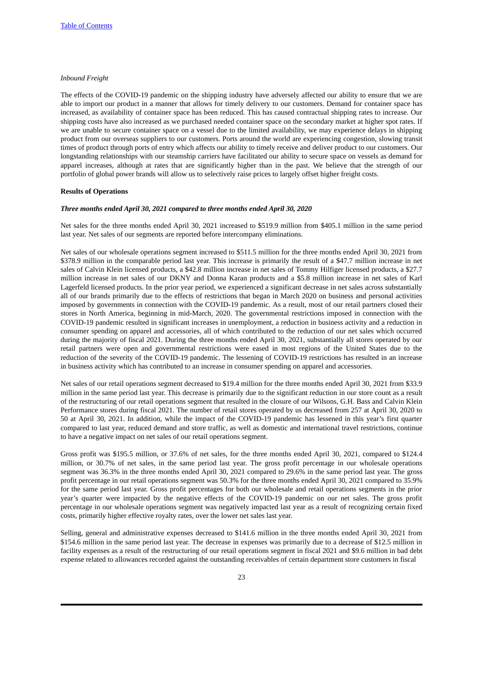## *Inbound Freight*

The effects of the COVID-19 pandemic on the shipping industry have adversely affected our ability to ensure that we are able to import our product in a manner that allows for timely delivery to our customers. Demand for container space has increased, as availability of container space has been reduced. This has caused contractual shipping rates to increase. Our shipping costs have also increased as we purchased needed container space on the secondary market at higher spot rates. If we are unable to secure container space on a vessel due to the limited availability, we may experience delays in shipping product from our overseas suppliers to our customers. Ports around the world are experiencing congestion, slowing transit times of product through ports of entry which affects our ability to timely receive and deliver product to our customers. Our longstanding relationships with our steamship carriers have facilitated our ability to secure space on vessels as demand for apparel increases, although at rates that are significantly higher than in the past. We believe that the strength of our portfolio of global power brands will allow us to selectively raise prices to largely offset higher freight costs.

## **Results of Operations**

## *Three months ended April 30, 2021 compared to three months ended April 30, 2020*

Net sales for the three months ended April 30, 2021 increased to \$519.9 million from \$405.1 million in the same period last year. Net sales of our segments are reported before intercompany eliminations.

Net sales of our wholesale operations segment increased to \$511.5 million for the three months ended April 30, 2021 from \$378.9 million in the comparable period last year. This increase is primarily the result of a \$47.7 million increase in net sales of Calvin Klein licensed products, a \$42.8 million increase in net sales of Tommy Hilfiger licensed products, a \$27.7 million increase in net sales of our DKNY and Donna Karan products and a \$5.8 million increase in net sales of Karl Lagerfeld licensed products. In the prior year period, we experienced a significant decrease in net sales across substantially all of our brands primarily due to the effects of restrictions that began in March 2020 on business and personal activities imposed by governments in connection with the COVID-19 pandemic. As a result, most of our retail partners closed their stores in North America, beginning in mid-March, 2020. The governmental restrictions imposed in connection with the COVID-19 pandemic resulted in significant increases in unemployment, a reduction in business activity and a reduction in consumer spending on apparel and accessories, all of which contributed to the reduction of our net sales which occurred during the majority of fiscal 2021. During the three months ended April 30, 2021, substantially all stores operated by our retail partners were open and governmental restrictions were eased in most regions of the United States due to the reduction of the severity of the COVID-19 pandemic. The lessening of COVID-19 restrictions has resulted in an increase in business activity which has contributed to an increase in consumer spending on apparel and accessories.

Net sales of our retail operations segment decreased to \$19.4 million for the three months ended April 30, 2021 from \$33.9 million in the same period last year. This decrease is primarily due to the significant reduction in our store count as a result of the restructuring of our retail operations segment that resulted in the closure of our Wilsons, G.H. Bass and Calvin Klein Performance stores during fiscal 2021. The number of retail stores operated by us decreased from 257 at April 30, 2020 to 50 at April 30, 2021. In addition, while the impact of the COVID-19 pandemic has lessened in this year's first quarter compared to last year, reduced demand and store traffic, as well as domestic and international travel restrictions, continue to have a negative impact on net sales of our retail operations segment.

Gross profit was \$195.5 million, or 37.6% of net sales, for the three months ended April 30, 2021, compared to \$124.4 million, or 30.7% of net sales, in the same period last year. The gross profit percentage in our wholesale operations segment was 36.3% in the three months ended April 30, 2021 compared to 29.6% in the same period last year. The gross profit percentage in our retail operations segment was 50.3% for the three months ended April 30, 2021 compared to 35.9% for the same period last year. Gross profit percentages for both our wholesale and retail operations segments in the prior year's quarter were impacted by the negative effects of the COVID-19 pandemic on our net sales. The gross profit percentage in our wholesale operations segment was negatively impacted last year as a result of recognizing certain fixed costs, primarily higher effective royalty rates, over the lower net sales last year.

Selling, general and administrative expenses decreased to \$141.6 million in the three months ended April 30, 2021 from \$154.6 million in the same period last year. The decrease in expenses was primarily due to a decrease of \$12.5 million in facility expenses as a result of the restructuring of our retail operations segment in fiscal 2021 and \$9.6 million in bad debt expense related to allowances recorded against the outstanding receivables of certain department store customers in fiscal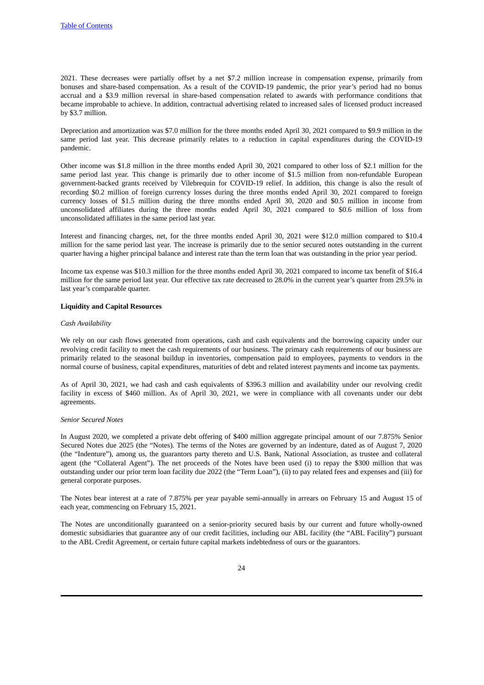2021. These decreases were partially offset by a net \$7.2 million increase in compensation expense, primarily from bonuses and share-based compensation. As a result of the COVID-19 pandemic, the prior year's period had no bonus accrual and a \$3.9 million reversal in share-based compensation related to awards with performance conditions that became improbable to achieve. In addition, contractual advertising related to increased sales of licensed product increased by \$3.7 million.

Depreciation and amortization was \$7.0 million for the three months ended April 30, 2021 compared to \$9.9 million in the same period last year. This decrease primarily relates to a reduction in capital expenditures during the COVID-19 pandemic.

Other income was \$1.8 million in the three months ended April 30, 2021 compared to other loss of \$2.1 million for the same period last year. This change is primarily due to other income of \$1.5 million from non-refundable European government-backed grants received by Vilebrequin for COVID-19 relief. In addition, this change is also the result of recording \$0.2 million of foreign currency losses during the three months ended April 30, 2021 compared to foreign currency losses of \$1.5 million during the three months ended April 30, 2020 and \$0.5 million in income from unconsolidated affiliates during the three months ended April 30, 2021 compared to \$0.6 million of loss from unconsolidated affiliates in the same period last year.

Interest and financing charges, net, for the three months ended April 30, 2021 were \$12.0 million compared to \$10.4 million for the same period last year. The increase is primarily due to the senior secured notes outstanding in the current quarter having a higher principal balance and interest rate than the term loan that was outstanding in the prior year period.

Income tax expense was \$10.3 million for the three months ended April 30, 2021 compared to income tax benefit of \$16.4 million for the same period last year. Our effective tax rate decreased to 28.0% in the current year's quarter from 29.5% in last year's comparable quarter.

## **Liquidity and Capital Resources**

#### *Cash Availability*

We rely on our cash flows generated from operations, cash and cash equivalents and the borrowing capacity under our revolving credit facility to meet the cash requirements of our business. The primary cash requirements of our business are primarily related to the seasonal buildup in inventories, compensation paid to employees, payments to vendors in the normal course of business, capital expenditures, maturities of debt and related interest payments and income tax payments.

As of April 30, 2021, we had cash and cash equivalents of \$396.3 million and availability under our revolving credit facility in excess of \$460 million. As of April 30, 2021, we were in compliance with all covenants under our debt agreements.

#### *Senior Secured Notes*

In August 2020, we completed a private debt offering of \$400 million aggregate principal amount of our 7.875% Senior Secured Notes due 2025 (the "Notes). The terms of the Notes are governed by an indenture, dated as of August 7, 2020 (the "Indenture"), among us, the guarantors party thereto and U.S. Bank, National Association, as trustee and collateral agent (the "Collateral Agent"). The net proceeds of the Notes have been used (i) to repay the \$300 million that was outstanding under our prior term loan facility due 2022 (the "Term Loan"), (ii) to pay related fees and expenses and (iii) for general corporate purposes.

The Notes bear interest at a rate of 7.875% per year payable semi-annually in arrears on February 15 and August 15 of each year, commencing on February 15, 2021.

The Notes are unconditionally guaranteed on a senior-priority secured basis by our current and future wholly-owned domestic subsidiaries that guarantee any of our credit facilities, including our ABL facility (the "ABL Facility") pursuant to the ABL Credit Agreement, or certain future capital markets indebtedness of ours or the guarantors.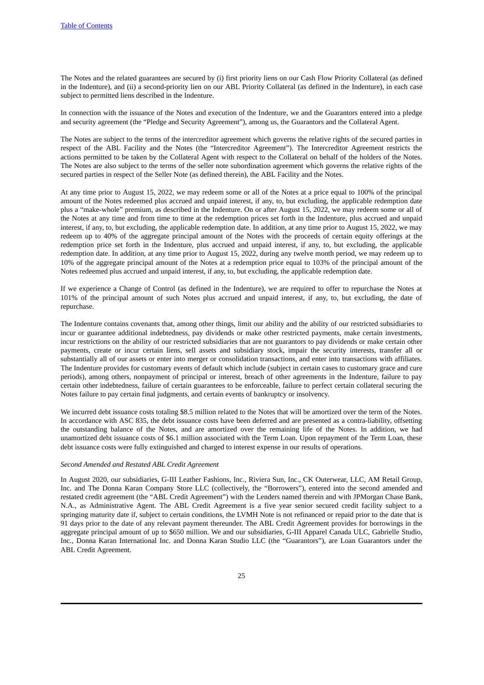The Notes and the related guarantees are secured by (i) first priority liens on our Cash Flow Priority Collateral (as defined in the Indenture), and (ii) a second-priority lien on our ABL Priority Collateral (as defined in the Indenture), in each case subject to permitted liens described in the Indenture.

In connection with the issuance of the Notes and execution of the Indenture, we and the Guarantors entered into a pledge and security agreement (the "Pledge and Security Agreement"), among us, the Guarantors and the Collateral Agent.

The Notes are subject to the terms of the intercreditor agreement which governs the relative rights of the secured parties in respect of the ABL Facility and the Notes (the "Intercreditor Agreement"). The Intercreditor Agreement restricts the actions permitted to be taken by the Collateral Agent with respect to the Collateral on behalf of the holders of the Notes. The Notes are also subject to the terms of the seller note subordination agreement which governs the relative rights of the secured parties in respect of the Seller Note (as defined therein), the ABL Facility and the Notes.

At any time prior to August 15, 2022, we may redeem some or all of the Notes at a price equal to 100% of the principal amount of the Notes redeemed plus accrued and unpaid interest, if any, to, but excluding, the applicable redemption date plus a "make-whole" premium, as described in the Indenture. On or after August 15, 2022, we may redeem some or all of the Notes at any time and from time to time at the redemption prices set forth in the Indenture, plus accrued and unpaid interest, if any, to, but excluding, the applicable redemption date. In addition, at any time prior to August 15, 2022, we may redeem up to 40% of the aggregate principal amount of the Notes with the proceeds of certain equity offerings at the redemption price set forth in the Indenture, plus accrued and unpaid interest, if any, to, but excluding, the applicable redemption date. In addition, at any time prior to August 15, 2022, during any twelve month period, we may redeem up to 10% of the aggregate principal amount of the Notes at a redemption price equal to 103% of the principal amount of the Notes redeemed plus accrued and unpaid interest, if any, to, but excluding, the applicable redemption date.

If we experience a Change of Control (as defined in the Indenture), we are required to offer to repurchase the Notes at 101% of the principal amount of such Notes plus accrued and unpaid interest, if any, to, but excluding, the date of repurchase.

The Indenture contains covenants that, among other things, limit our ability and the ability of our restricted subsidiaries to incur or guarantee additional indebtedness, pay dividends or make other restricted payments, make certain investments, incur restrictions on the ability of our restricted subsidiaries that are not guarantors to pay dividends or make certain other payments, create or incur certain liens, sell assets and subsidiary stock, impair the security interests, transfer all or substantially all of our assets or enter into merger or consolidation transactions, and enter into transactions with affiliates. The Indenture provides for customary events of default which include (subject in certain cases to customary grace and cure periods), among others, nonpayment of principal or interest, breach of other agreements in the Indenture, failure to pay certain other indebtedness, failure of certain guarantees to be enforceable, failure to perfect certain collateral securing the Notes failure to pay certain final judgments, and certain events of bankruptcy or insolvency.

We incurred debt issuance costs totaling \$8.5 million related to the Notes that will be amortized over the term of the Notes. In accordance with ASC 835, the debt issuance costs have been deferred and are presented as a contra-liability, offsetting the outstanding balance of the Notes, and are amortized over the remaining life of the Notes. In addition, we had unamortized debt issuance costs of \$6.1 million associated with the Term Loan. Upon repayment of the Term Loan, these debt issuance costs were fully extinguished and charged to interest expense in our results of operations.

#### *Second Amended and Restated ABL Credit Agreement*

In August 2020, our subsidiaries, G-III Leather Fashions, Inc., Riviera Sun, Inc., CK Outerwear, LLC, AM Retail Group, Inc. and The Donna Karan Company Store LLC (collectively, the "Borrowers"), entered into the second amended and restated credit agreement (the "ABL Credit Agreement") with the Lenders named therein and with JPMorgan Chase Bank, N.A., as Administrative Agent. The ABL Credit Agreement is a five year senior secured credit facility subject to a springing maturity date if, subject to certain conditions, the LVMH Note is not refinanced or repaid prior to the date that is 91 days prior to the date of any relevant payment thereunder. The ABL Credit Agreement provides for borrowings in the aggregate principal amount of up to \$650 million. We and our subsidiaries, G-III Apparel Canada ULC, Gabrielle Studio, Inc., Donna Karan International Inc. and Donna Karan Studio LLC (the "Guarantors"), are Loan Guarantors under the ABL Credit Agreement.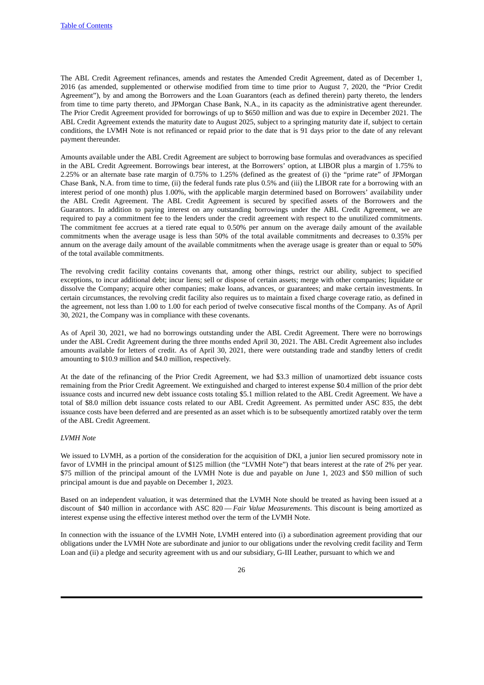The ABL Credit Agreement refinances, amends and restates the Amended Credit Agreement, dated as of December 1, 2016 (as amended, supplemented or otherwise modified from time to time prior to August 7, 2020, the "Prior Credit Agreement"), by and among the Borrowers and the Loan Guarantors (each as defined therein) party thereto, the lenders from time to time party thereto, and JPMorgan Chase Bank, N.A., in its capacity as the administrative agent thereunder. The Prior Credit Agreement provided for borrowings of up to \$650 million and was due to expire in December 2021. The ABL Credit Agreement extends the maturity date to August 2025, subject to a springing maturity date if, subject to certain conditions, the LVMH Note is not refinanced or repaid prior to the date that is 91 days prior to the date of any relevant payment thereunder.

Amounts available under the ABL Credit Agreement are subject to borrowing base formulas and overadvances as specified in the ABL Credit Agreement. Borrowings bear interest, at the Borrowers' option, at LIBOR plus a margin of 1.75% to 2.25% or an alternate base rate margin of 0.75% to 1.25% (defined as the greatest of (i) the "prime rate" of JPMorgan Chase Bank, N.A. from time to time, (ii) the federal funds rate plus 0.5% and (iii) the LIBOR rate for a borrowing with an interest period of one month) plus 1.00%, with the applicable margin determined based on Borrowers' availability under the ABL Credit Agreement. The ABL Credit Agreement is secured by specified assets of the Borrowers and the Guarantors. In addition to paying interest on any outstanding borrowings under the ABL Credit Agreement, we are required to pay a commitment fee to the lenders under the credit agreement with respect to the unutilized commitments. The commitment fee accrues at a tiered rate equal to 0.50% per annum on the average daily amount of the available commitments when the average usage is less than 50% of the total available commitments and decreases to 0.35% per annum on the average daily amount of the available commitments when the average usage is greater than or equal to 50% of the total available commitments.

The revolving credit facility contains covenants that, among other things, restrict our ability, subject to specified exceptions, to incur additional debt; incur liens; sell or dispose of certain assets; merge with other companies; liquidate or dissolve the Company; acquire other companies; make loans, advances, or guarantees; and make certain investments. In certain circumstances, the revolving credit facility also requires us to maintain a fixed charge coverage ratio, as defined in the agreement, not less than 1.00 to 1.00 for each period of twelve consecutive fiscal months of the Company. As of April 30, 2021, the Company was in compliance with these covenants.

As of April 30, 2021, we had no borrowings outstanding under the ABL Credit Agreement. There were no borrowings under the ABL Credit Agreement during the three months ended April 30, 2021. The ABL Credit Agreement also includes amounts available for letters of credit. As of April 30, 2021, there were outstanding trade and standby letters of credit amounting to \$10.9 million and \$4.0 million, respectively.

At the date of the refinancing of the Prior Credit Agreement, we had \$3.3 million of unamortized debt issuance costs remaining from the Prior Credit Agreement. We extinguished and charged to interest expense \$0.4 million of the prior debt issuance costs and incurred new debt issuance costs totaling \$5.1 million related to the ABL Credit Agreement. We have a total of \$8.0 million debt issuance costs related to our ABL Credit Agreement. As permitted under ASC 835, the debt issuance costs have been deferred and are presented as an asset which is to be subsequently amortized ratably over the term of the ABL Credit Agreement.

#### *LVMH Note*

We issued to LVMH, as a portion of the consideration for the acquisition of DKI, a junior lien secured promissory note in favor of LVMH in the principal amount of \$125 million (the "LVMH Note") that bears interest at the rate of 2% per year. \$75 million of the principal amount of the LVMH Note is due and payable on June 1, 2023 and \$50 million of such principal amount is due and payable on December 1, 2023.

Based on an independent valuation, it was determined that the LVMH Note should be treated as having been issued at a discount of \$40 million in accordance with ASC 820 — *Fair Value Measurements*. This discount is being amortized as interest expense using the effective interest method over the term of the LVMH Note.

In connection with the issuance of the LVMH Note, LVMH entered into (i) a subordination agreement providing that our obligations under the LVMH Note are subordinate and junior to our obligations under the revolving credit facility and Term Loan and (ii) a pledge and security agreement with us and our subsidiary, G-III Leather, pursuant to which we and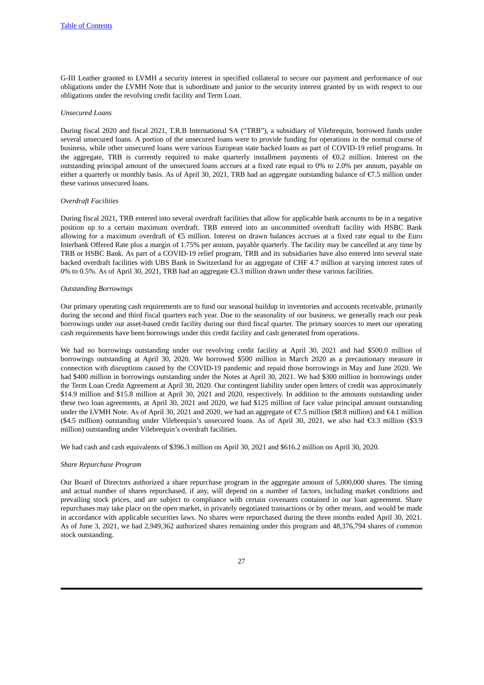G-III Leather granted to LVMH a security interest in specified collateral to secure our payment and performance of our obligations under the LVMH Note that is subordinate and junior to the security interest granted by us with respect to our obligations under the revolving credit facility and Term Loan.

#### *Unsecured Loans*

During fiscal 2020 and fiscal 2021, T.R.B International SA ("TRB"), a subsidiary of Vilebrequin, borrowed funds under several unsecured loans. A portion of the unsecured loans were to provide funding for operations in the normal course of business, while other unsecured loans were various European state backed loans as part of COVID-19 relief programs. In the aggregate, TRB is currently required to make quarterly installment payments of €0.2 million. Interest on the outstanding principal amount of the unsecured loans accrues at a fixed rate equal to 0% to 2.0% per annum, payable on either a quarterly or monthly basis. As of April 30, 2021, TRB had an aggregate outstanding balance of  $\epsilon$ 7.5 million under these various unsecured loans.

## *Overdraft Facilities*

During fiscal 2021, TRB entered into several overdraft facilities that allow for applicable bank accounts to be in a negative position up to a certain maximum overdraft. TRB entered into an uncommitted overdraft facility with HSBC Bank allowing for a maximum overdraft of €5 million. Interest on drawn balances accrues at a fixed rate equal to the Euro Interbank Offered Rate plus a margin of 1.75% per annum, payable quarterly. The facility may be cancelled at any time by TRB or HSBC Bank. As part of a COVID-19 relief program, TRB and its subsidiaries have also entered into several state backed overdraft facilities with UBS Bank in Switzerland for an aggregate of CHF 4.7 million at varying interest rates of 0% to 0.5%. As of April 30, 2021, TRB had an aggregate €3.3 million drawn under these various facilities.

#### *Outstanding Borrowings*

Our primary operating cash requirements are to fund our seasonal buildup in inventories and accounts receivable, primarily during the second and third fiscal quarters each year. Due to the seasonality of our business, we generally reach our peak borrowings under our asset-based credit facility during our third fiscal quarter. The primary sources to meet our operating cash requirements have been borrowings under this credit facility and cash generated from operations.

We had no borrowings outstanding under our revolving credit facility at April 30, 2021 and had \$500.0 million of borrowings outstanding at April 30, 2020. We borrowed \$500 million in March 2020 as a precautionary measure in connection with disruptions caused by the COVID-19 pandemic and repaid those borrowings in May and June 2020. We had \$400 million in borrowings outstanding under the Notes at April 30, 2021. We had \$300 million in borrowings under the Term Loan Credit Agreement at April 30, 2020. Our contingent liability under open letters of credit was approximately \$14.9 million and \$15.8 million at April 30, 2021 and 2020, respectively. In addition to the amounts outstanding under these two loan agreements, at April 30, 2021 and 2020, we had \$125 million of face value principal amount outstanding under the LVMH Note. As of April 30, 2021 and 2020, we had an aggregate of €7.5 million (\$8.8 million) and €4.1 million (\$4.5 million) outstanding under Vilebrequin's unsecured loans. As of April 30, 2021, we also had €3.3 million (\$3.9 million) outstanding under Vilebrequin's overdraft facilities.

We had cash and cash equivalents of \$396.3 million on April 30, 2021 and \$616.2 million on April 30, 2020.

#### *Share Repurchase Program*

Our Board of Directors authorized a share repurchase program in the aggregate amount of 5,000,000 shares. The timing and actual number of shares repurchased, if any, will depend on a number of factors, including market conditions and prevailing stock prices, and are subject to compliance with certain covenants contained in our loan agreement. Share repurchases may take place on the open market, in privately negotiated transactions or by other means, and would be made in accordance with applicable securities laws. No shares were repurchased during the three months ended April 30, 2021. As of June 3, 2021, we had 2,949,362 authorized shares remaining under this program and 48,376,794 shares of common stock outstanding.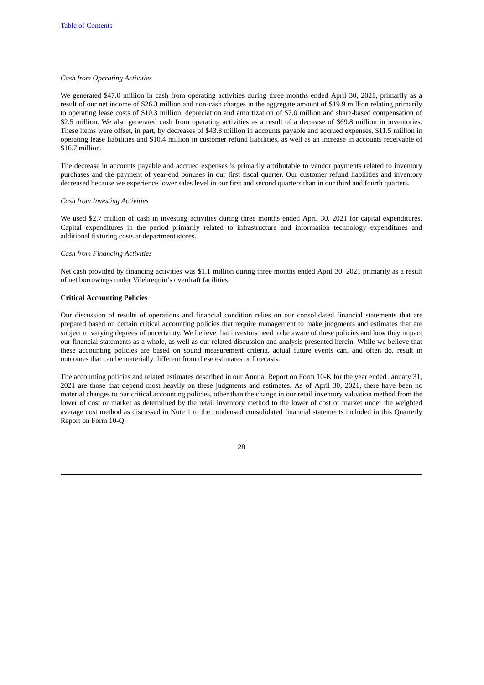## *Cash from Operating Activities*

We generated \$47.0 million in cash from operating activities during three months ended April 30, 2021, primarily as a result of our net income of \$26.3 million and non-cash charges in the aggregate amount of \$19.9 million relating primarily to operating lease costs of \$10.3 million, depreciation and amortization of \$7.0 million and share-based compensation of \$2.5 million. We also generated cash from operating activities as a result of a decrease of \$69.8 million in inventories. These items were offset, in part, by decreases of \$43.8 million in accounts payable and accrued expenses, \$11.5 million in operating lease liabilities and \$10.4 million in customer refund liabilities, as well as an increase in accounts receivable of \$16.7 million.

The decrease in accounts payable and accrued expenses is primarily attributable to vendor payments related to inventory purchases and the payment of year-end bonuses in our first fiscal quarter. Our customer refund liabilities and inventory decreased because we experience lower sales level in our first and second quarters than in our third and fourth quarters.

## *Cash from Investing Activities*

We used \$2.7 million of cash in investing activities during three months ended April 30, 2021 for capital expenditures. Capital expenditures in the period primarily related to infrastructure and information technology expenditures and additional fixturing costs at department stores.

## *Cash from Financing Activities*

Net cash provided by financing activities was \$1.1 million during three months ended April 30, 2021 primarily as a result of net borrowings under Vilebrequin's overdraft facilities.

## **Critical Accounting Policies**

Our discussion of results of operations and financial condition relies on our consolidated financial statements that are prepared based on certain critical accounting policies that require management to make judgments and estimates that are subject to varying degrees of uncertainty. We believe that investors need to be aware of these policies and how they impact our financial statements as a whole, as well as our related discussion and analysis presented herein. While we believe that these accounting policies are based on sound measurement criteria, actual future events can, and often do, result in outcomes that can be materially different from these estimates or forecasts.

The accounting policies and related estimates described in our Annual Report on Form 10-K for the year ended January 31, 2021 are those that depend most heavily on these judgments and estimates. As of April 30, 2021, there have been no material changes to our critical accounting policies, other than the change in our retail inventory valuation method from the lower of cost or market as determined by the retail inventory method to the lower of cost or market under the weighted average cost method as discussed in Note 1 to the condensed consolidated financial statements included in this Quarterly Report on Form 10-Q.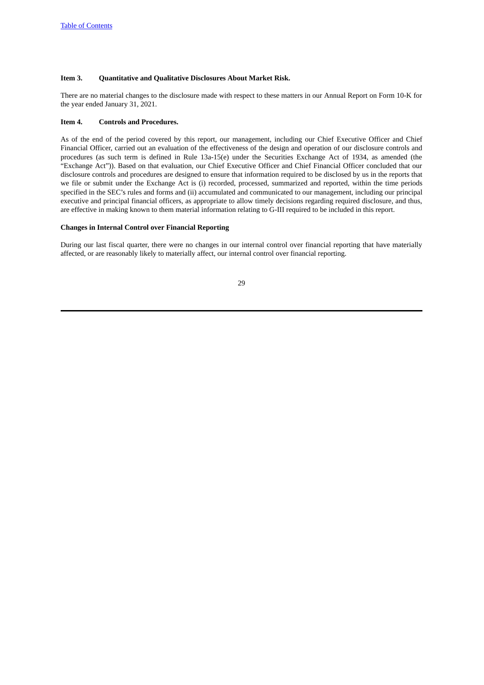## <span id="page-28-0"></span>**Item 3. Quantitative and Qualitative Disclosures About Market Risk.**

There are no material changes to the disclosure made with respect to these matters in our Annual Report on Form 10-K for the year ended January 31, 2021.

## <span id="page-28-1"></span>**Item 4. Controls and Procedures.**

As of the end of the period covered by this report, our management, including our Chief Executive Officer and Chief Financial Officer, carried out an evaluation of the effectiveness of the design and operation of our disclosure controls and procedures (as such term is defined in Rule 13a-15(e) under the Securities Exchange Act of 1934, as amended (the "Exchange Act")). Based on that evaluation, our Chief Executive Officer and Chief Financial Officer concluded that our disclosure controls and procedures are designed to ensure that information required to be disclosed by us in the reports that we file or submit under the Exchange Act is (i) recorded, processed, summarized and reported, within the time periods specified in the SEC's rules and forms and (ii) accumulated and communicated to our management, including our principal executive and principal financial officers, as appropriate to allow timely decisions regarding required disclosure, and thus, are effective in making known to them material information relating to G-III required to be included in this report.

### **Changes in Internal Control over Financial Reporting**

During our last fiscal quarter, there were no changes in our internal control over financial reporting that have materially affected, or are reasonably likely to materially affect, our internal control over financial reporting.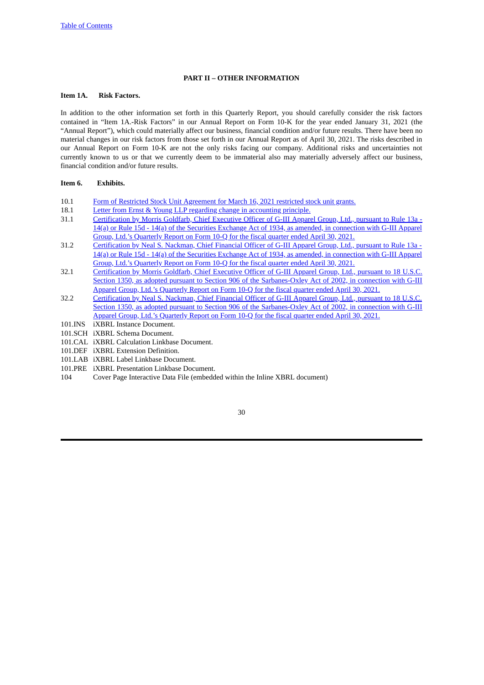## **PART II – OTHER INFORMATION**

## <span id="page-29-1"></span><span id="page-29-0"></span>**Item 1A. Risk Factors.**

In addition to the other information set forth in this Quarterly Report, you should carefully consider the risk factors contained in "Item 1A.-Risk Factors" in our Annual Report on Form 10-K for the year ended January 31, 2021 (the "Annual Report"), which could materially affect our business, financial condition and/or future results. There have been no material changes in our risk factors from those set forth in our Annual Report as of April 30, 2021. The risks described in our Annual Report on Form 10-K are not the only risks facing our company. Additional risks and uncertainties not currently known to us or that we currently deem to be immaterial also may materially adversely affect our business, financial condition and/or future results.

## <span id="page-29-2"></span>**Item 6. Exhibits.**

- 10.1 Form of Restricted Stock Unit [Agreement](#page-31-0) for March 16, 2021 restricted stock unit grants.
- 18.1 Letter from Ernst & Young LLP regarding change in [accounting](#page-33-0) principle.
- 31.1 [Certification](#page-34-0) by Morris Goldfarb, Chief Executive Officer of G-III Apparel Group, Ltd., pursuant to Rule 13a 14(a) or Rule 15d - 14(a) of the Securities Exchange Act of 1934, as amended, in connection with G-III Apparel Group, Ltd.'s Quarterly Report on Form 10-Q for the fiscal quarter ended April 30, 2021.
- 31.2 [Certification](#page-35-0) by Neal S. Nackman, Chief Financial Officer of G-III Apparel Group, Ltd., pursuant to Rule 13a 14(a) or Rule 15d - 14(a) of the Securities Exchange Act of 1934, as amended, in connection with G-III Apparel Group, Ltd.'s Quarterly Report on Form 10-Q for the fiscal quarter ended April 30, 2021.
- 32.1 Certification by Morris Goldfarb, Chief Executive Officer of G-III Apparel Group, Ltd., pursuant to 18 U.S.C. Section 1350, as adopted pursuant to Section 906 of the [Sarbanes-Oxley](#page-36-0) Act of 2002, in connection with G-III Apparel Group, Ltd.'s Quarterly Report on Form 10-Q for the fiscal quarter ended April 30, 2021.
- 32.2 Certification by Neal S. Nackman, Chief Financial Officer of G-III Apparel Group, Ltd., pursuant to 18 U.S.C. Section 1350, as adopted pursuant to Section 906 of the [Sarbanes-Oxley](#page-37-0) Act of 2002, in connection with G-III Apparel Group, Ltd.'s Quarterly Report on Form 10-Q for the fiscal quarter ended April 30, 2021.
- 101.INS iXBRL Instance Document.
- 101.SCH iXBRL Schema Document.
- 101.CAL iXBRL Calculation Linkbase Document.
- 101.DEF iXBRL Extension Definition.
- 101.LAB iXBRL Label Linkbase Document.
- 101.PRE iXBRL Presentation Linkbase Document.
- 104 Cover Page Interactive Data File (embedded within the Inline XBRL document)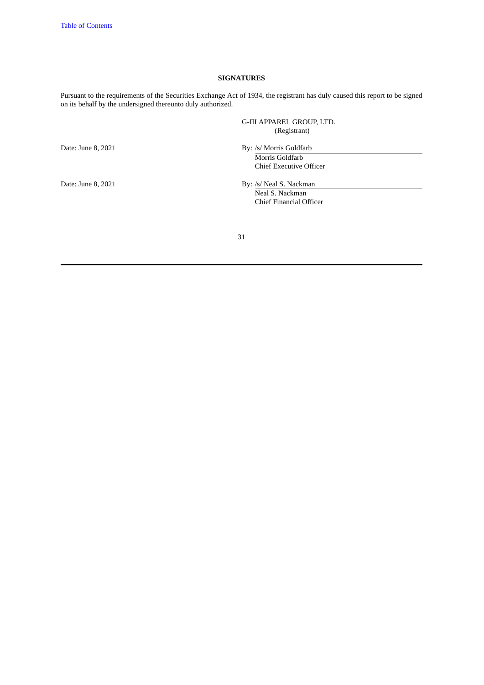## **SIGNATURES**

Pursuant to the requirements of the Securities Exchange Act of 1934, the registrant has duly caused this report to be signed on its behalf by the undersigned thereunto duly authorized.

G-III APPAREL GROUP, LTD. (Registrant)

Date: June 8, 2021 By: /s/ Morris Goldfarb Morris Goldfarb

Chief Executive Officer

Date: June 8, 2021 By: /s/ Neal S. Nackman Neal S. Nackman Chief Financial Officer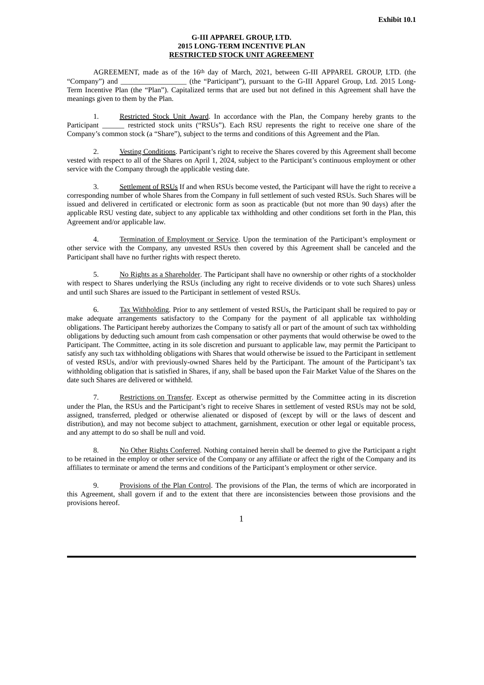## **G-III APPAREL GROUP, LTD. 2015 LONG-TERM INCENTIVE PLAN RESTRICTED STOCK UNIT AGREEMENT**

<span id="page-31-0"></span>AGREEMENT, made as of the 16th day of March, 2021, between G-III APPAREL GROUP, LTD. (the "Company") and \_\_\_\_\_\_\_\_\_\_\_\_\_\_\_\_\_\_ (the "Participant"), pursuant to the G-III Apparel Group, Ltd. 2015 Long-Term Incentive Plan (the "Plan"). Capitalized terms that are used but not defined in this Agreement shall have the meanings given to them by the Plan.

1. Restricted Stock Unit Award. In accordance with the Plan, the Company hereby grants to the Participant \_\_\_\_\_\_\_ restricted stock units ("RSUs"). Each RSU represents the right to receive one share of the Company's common stock (a "Share"), subject to the terms and conditions of this Agreement and the Plan.

2. Vesting Conditions. Participant's right to receive the Shares covered by this Agreement shall become vested with respect to all of the Shares on April 1, 2024, subject to the Participant's continuous employment or other service with the Company through the applicable vesting date.

Settlement of RSUs If and when RSUs become vested, the Participant will have the right to receive a corresponding number of whole Shares from the Company in full settlement of such vested RSUs. Such Shares will be issued and delivered in certificated or electronic form as soon as practicable (but not more than 90 days) after the applicable RSU vesting date, subject to any applicable tax withholding and other conditions set forth in the Plan, this Agreement and/or applicable law.

4. Termination of Employment or Service. Upon the termination of the Participant's employment or other service with the Company, any unvested RSUs then covered by this Agreement shall be canceled and the Participant shall have no further rights with respect thereto.

5. No Rights as a Shareholder. The Participant shall have no ownership or other rights of a stockholder with respect to Shares underlying the RSUs (including any right to receive dividends or to vote such Shares) unless and until such Shares are issued to the Participant in settlement of vested RSUs.

Tax Withholding. Prior to any settlement of vested RSUs, the Participant shall be required to pay or make adequate arrangements satisfactory to the Company for the payment of all applicable tax withholding obligations. The Participant hereby authorizes the Company to satisfy all or part of the amount of such tax withholding obligations by deducting such amount from cash compensation or other payments that would otherwise be owed to the Participant. The Committee, acting in its sole discretion and pursuant to applicable law, may permit the Participant to satisfy any such tax withholding obligations with Shares that would otherwise be issued to the Participant in settlement of vested RSUs, and/or with previously-owned Shares held by the Participant. The amount of the Participant's tax withholding obligation that is satisfied in Shares, if any, shall be based upon the Fair Market Value of the Shares on the date such Shares are delivered or withheld.

7. Restrictions on Transfer. Except as otherwise permitted by the Committee acting in its discretion under the Plan, the RSUs and the Participant's right to receive Shares in settlement of vested RSUs may not be sold, assigned, transferred, pledged or otherwise alienated or disposed of (except by will or the laws of descent and distribution), and may not become subject to attachment, garnishment, execution or other legal or equitable process, and any attempt to do so shall be null and void.

8. No Other Rights Conferred. Nothing contained herein shall be deemed to give the Participant a right to be retained in the employ or other service of the Company or any affiliate or affect the right of the Company and its affiliates to terminate or amend the terms and conditions of the Participant's employment or other service.

9. Provisions of the Plan Control. The provisions of the Plan, the terms of which are incorporated in this Agreement, shall govern if and to the extent that there are inconsistencies between those provisions and the provisions hereof.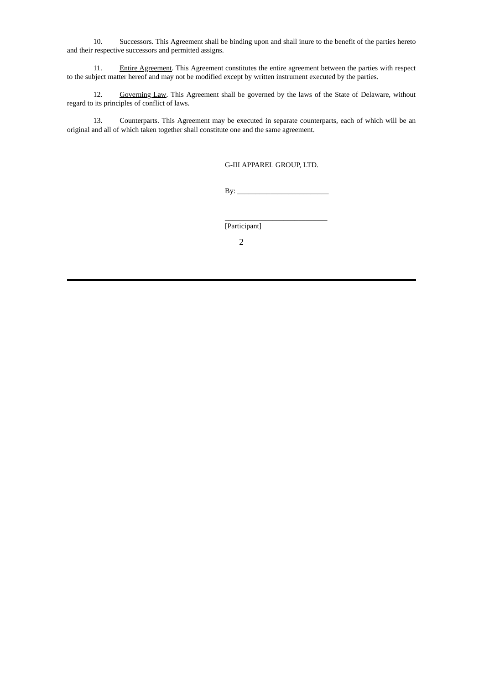10. Successors. This Agreement shall be binding upon and shall inure to the benefit of the parties hereto and their respective successors and permitted assigns.

11. Entire Agreement. This Agreement constitutes the entire agreement between the parties with respect to the subject matter hereof and may not be modified except by written instrument executed by the parties.

12. Governing Law. This Agreement shall be governed by the laws of the State of Delaware, without regard to its principles of conflict of laws.

13. Counterparts. This Agreement may be executed in separate counterparts, each of which will be an original and all of which taken together shall constitute one and the same agreement.

G-III APPAREL GROUP, LTD.

By: \_\_\_\_\_\_\_\_\_\_\_\_\_\_\_\_\_\_\_\_\_\_\_\_\_

 $\_$ 

[Participant]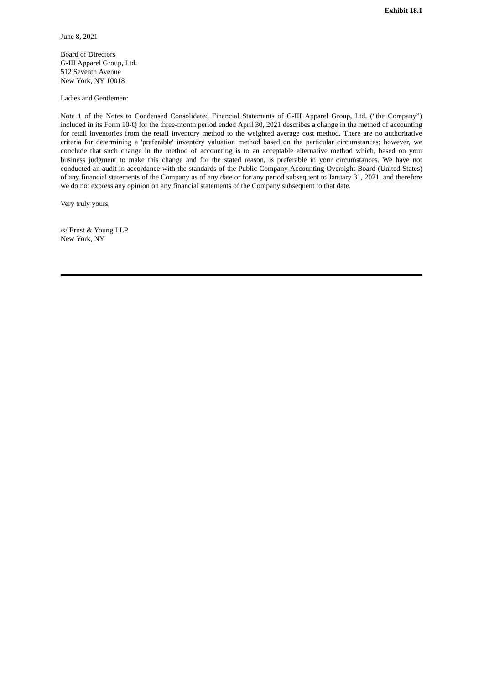<span id="page-33-0"></span>June 8, 2021

Board of Directors G-III Apparel Group, Ltd. 512 Seventh Avenue New York, NY 10018

Ladies and Gentlemen:

Note 1 of the Notes to Condensed Consolidated Financial Statements of G-III Apparel Group, Ltd. ("the Company") included in its Form 10-Q for the three-month period ended April 30, 2021 describes a change in the method of accounting for retail inventories from the retail inventory method to the weighted average cost method. There are no authoritative criteria for determining a 'preferable' inventory valuation method based on the particular circumstances; however, we conclude that such change in the method of accounting is to an acceptable alternative method which, based on your business judgment to make this change and for the stated reason, is preferable in your circumstances. We have not conducted an audit in accordance with the standards of the Public Company Accounting Oversight Board (United States) of any financial statements of the Company as of any date or for any period subsequent to January 31, 2021, and therefore we do not express any opinion on any financial statements of the Company subsequent to that date.

Very truly yours,

/s/ Ernst & Young LLP New York, NY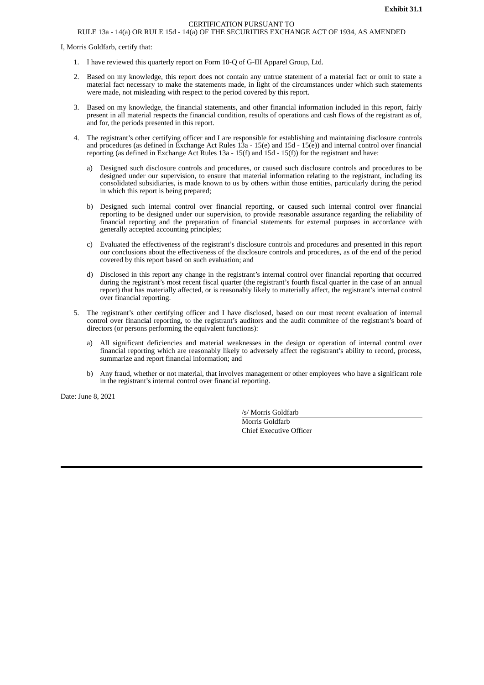## CERTIFICATION PURSUANT TO

## RULE 13a - 14(a) OR RULE 15d - 14(a) OF THE SECURITIES EXCHANGE ACT OF 1934, AS AMENDED

<span id="page-34-0"></span>I, Morris Goldfarb, certify that:

- 1. I have reviewed this quarterly report on Form 10-Q of G-III Apparel Group, Ltd.
- 2. Based on my knowledge, this report does not contain any untrue statement of a material fact or omit to state a material fact necessary to make the statements made, in light of the circumstances under which such statements were made, not misleading with respect to the period covered by this report.
- 3. Based on my knowledge, the financial statements, and other financial information included in this report, fairly present in all material respects the financial condition, results of operations and cash flows of the registrant as of, and for, the periods presented in this report.
- 4. The registrant's other certifying officer and I are responsible for establishing and maintaining disclosure controls and procedures (as defined in Exchange Act Rules 13a - 15(e) and 15d - 15(e)) and internal control over financial reporting (as defined in Exchange Act Rules 13a - 15(f) and 15d - 15(f)) for the registrant and have:
	- a) Designed such disclosure controls and procedures, or caused such disclosure controls and procedures to be designed under our supervision, to ensure that material information relating to the registrant, including its consolidated subsidiaries, is made known to us by others within those entities, particularly during the period in which this report is being prepared;
	- b) Designed such internal control over financial reporting, or caused such internal control over financial reporting to be designed under our supervision, to provide reasonable assurance regarding the reliability of financial reporting and the preparation of financial statements for external purposes in accordance with generally accepted accounting principles;
	- c) Evaluated the effectiveness of the registrant's disclosure controls and procedures and presented in this report our conclusions about the effectiveness of the disclosure controls and procedures, as of the end of the period covered by this report based on such evaluation; and
	- d) Disclosed in this report any change in the registrant's internal control over financial reporting that occurred during the registrant's most recent fiscal quarter (the registrant's fourth fiscal quarter in the case of an annual report) that has materially affected, or is reasonably likely to materially affect, the registrant's internal control over financial reporting.
- 5. The registrant's other certifying officer and I have disclosed, based on our most recent evaluation of internal control over financial reporting, to the registrant's auditors and the audit committee of the registrant's board of directors (or persons performing the equivalent functions):
	- a) All significant deficiencies and material weaknesses in the design or operation of internal control over financial reporting which are reasonably likely to adversely affect the registrant's ability to record, process, summarize and report financial information; and
	- b) Any fraud, whether or not material, that involves management or other employees who have a significant role in the registrant's internal control over financial reporting.

Date: June 8, 2021

/s/ Morris Goldfarb Morris Goldfarb Chief Executive Officer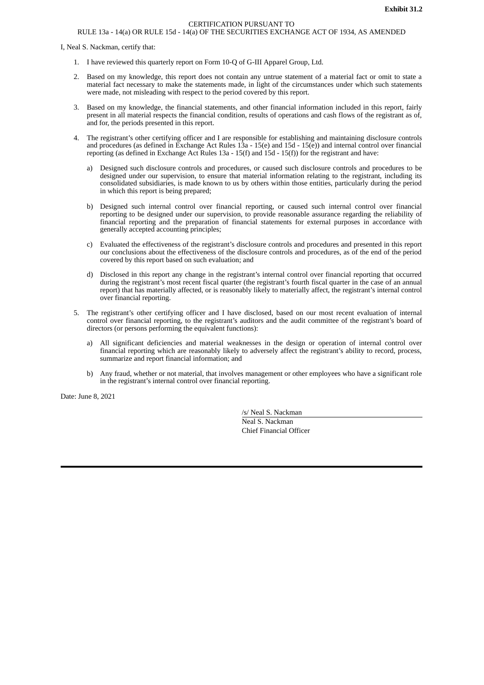## CERTIFICATION PURSUANT TO

## RULE 13a - 14(a) OR RULE 15d - 14(a) OF THE SECURITIES EXCHANGE ACT OF 1934, AS AMENDED

<span id="page-35-0"></span>I, Neal S. Nackman, certify that:

- 1. I have reviewed this quarterly report on Form 10-Q of G-III Apparel Group, Ltd.
- 2. Based on my knowledge, this report does not contain any untrue statement of a material fact or omit to state a material fact necessary to make the statements made, in light of the circumstances under which such statements were made, not misleading with respect to the period covered by this report.
- 3. Based on my knowledge, the financial statements, and other financial information included in this report, fairly present in all material respects the financial condition, results of operations and cash flows of the registrant as of, and for, the periods presented in this report.
- 4. The registrant's other certifying officer and I are responsible for establishing and maintaining disclosure controls and procedures (as defined in Exchange Act Rules 13a - 15(e) and 15d - 15(e)) and internal control over financial reporting (as defined in Exchange Act Rules 13a - 15(f) and 15d - 15(f)) for the registrant and have:
	- a) Designed such disclosure controls and procedures, or caused such disclosure controls and procedures to be designed under our supervision, to ensure that material information relating to the registrant, including its consolidated subsidiaries, is made known to us by others within those entities, particularly during the period in which this report is being prepared;
	- b) Designed such internal control over financial reporting, or caused such internal control over financial reporting to be designed under our supervision, to provide reasonable assurance regarding the reliability of financial reporting and the preparation of financial statements for external purposes in accordance with generally accepted accounting principles;
	- c) Evaluated the effectiveness of the registrant's disclosure controls and procedures and presented in this report our conclusions about the effectiveness of the disclosure controls and procedures, as of the end of the period covered by this report based on such evaluation; and
	- d) Disclosed in this report any change in the registrant's internal control over financial reporting that occurred during the registrant's most recent fiscal quarter (the registrant's fourth fiscal quarter in the case of an annual report) that has materially affected, or is reasonably likely to materially affect, the registrant's internal control over financial reporting.
- 5. The registrant's other certifying officer and I have disclosed, based on our most recent evaluation of internal control over financial reporting, to the registrant's auditors and the audit committee of the registrant's board of directors (or persons performing the equivalent functions):
	- a) All significant deficiencies and material weaknesses in the design or operation of internal control over financial reporting which are reasonably likely to adversely affect the registrant's ability to record, process, summarize and report financial information; and
	- b) Any fraud, whether or not material, that involves management or other employees who have a significant role in the registrant's internal control over financial reporting.

Date: June 8, 2021

/s/ Neal S. Nackman Neal S. Nackman Chief Financial Officer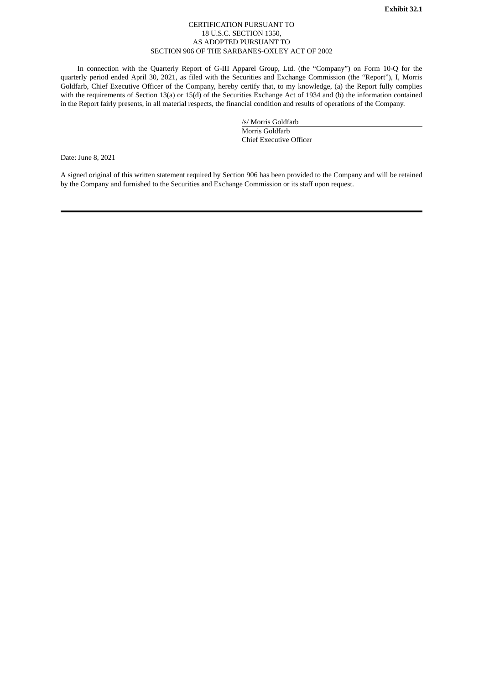## CERTIFICATION PURSUANT TO 18 U.S.C. SECTION 1350, AS ADOPTED PURSUANT TO SECTION 906 OF THE SARBANES-OXLEY ACT OF 2002

<span id="page-36-0"></span>In connection with the Quarterly Report of G-III Apparel Group, Ltd. (the "Company") on Form 10-Q for the quarterly period ended April 30, 2021, as filed with the Securities and Exchange Commission (the "Report"), I, Morris Goldfarb, Chief Executive Officer of the Company, hereby certify that, to my knowledge, (a) the Report fully complies with the requirements of Section 13(a) or 15(d) of the Securities Exchange Act of 1934 and (b) the information contained in the Report fairly presents, in all material respects, the financial condition and results of operations of the Company.

> /s/ Morris Goldfarb Morris Goldfarb Chief Executive Officer

Date: June 8, 2021

A signed original of this written statement required by Section 906 has been provided to the Company and will be retained by the Company and furnished to the Securities and Exchange Commission or its staff upon request.